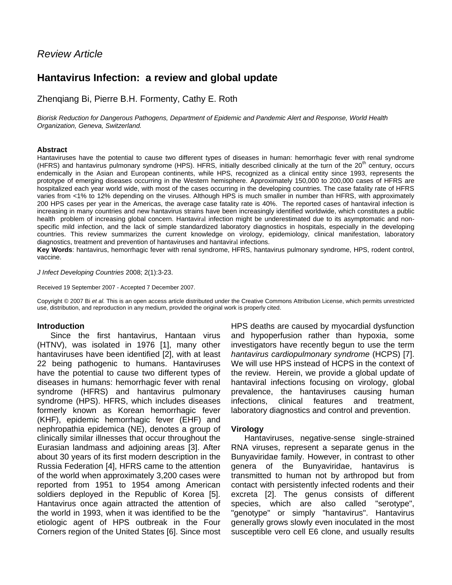# *Review Article*

# **Hantavirus Infection: a review and global update**

Zhenqiang Bi, Pierre B.H. Formenty, Cathy E. Roth

*Biorisk Reduction for Dangerous Pathogens, Department of Epidemic and Pandemic Alert and Response, World Health Organization, Geneva, Switzerland.*

#### **Abstract**

Hantaviruses have the potential to cause two different types of diseases in human: hemorrhagic fever with renal syndrome (HFRS) and hantavirus pulmonary syndrome (HPS). HFRS, initially described clinically at the turn of the  $20<sup>th</sup>$  century, occurs endemically in the Asian and European continents, while HPS, recognized as a clinical entity since 1993, represents the prototype of emerging diseases occurring in the Western hemisphere. Approximately 150,000 to 200,000 cases of HFRS are hospitalized each year world wide, with most of the cases occurring in the developing countries. The case fatality rate of HFRS varies from <1% to 12% depending on the viruses. Although HPS is much smaller in number than HFRS, with approximately 200 HPS cases per year in the Americas, the average case fatality rate is 40%. The reported cases of hantaviral infection is increasing in many countries and new hantavirus strains have been increasingly identified worldwide, which constitutes a public health problem of increasing global concern. Hantaviral infection might be underestimated due to its asymptomatic and nonspecific mild infection, and the lack of simple standardized laboratory diagnostics in hospitals, especially in the developing countries. This review summarizes the current knowledge on virology, epidemiology, clinical manifestation, laboratory diagnostics, treatment and prevention of hantaviruses and hantaviral infections.

**Key Words**: hantavirus, hemorrhagic fever with renal syndrome, HFRS, hantavirus pulmonary syndrome, HPS, rodent control, vaccine.

*J Infect Developing Countries* 2008; 2(1):3-23.

Received 19 September 2007 - Accepted 7 December 2007.

Copyright © 2007 Bi *et al.* This is an open access article distributed under the Creative Commons Attribution License, which permits unrestricted use, distribution, and reproduction in any medium, provided the original work is properly cited.

#### **Introduction**

Since the first hantavirus, Hantaan virus (HTNV), was isolated in 1976 [1], many other hantaviruses have been identified [2], with at least 22 being pathogenic to humans. Hantaviruses have the potential to cause two different types of diseases in humans: hemorrhagic fever with renal syndrome (HFRS) and hantavirus pulmonary syndrome (HPS). HFRS, which includes diseases formerly known as Korean hemorrhagic fever (KHF), epidemic hemorrhagic fever (EHF) and nephropathia epidemica (NE), denotes a group of clinically similar illnesses that occur throughout the Eurasian landmass and adjoining areas [3]. After about 30 years of its first modern description in the Russia Federation [4], HFRS came to the attention of the world when approximately 3,200 cases were reported from 1951 to 1954 among American soldiers deployed in the Republic of Korea [5]. Hantavirus once again attracted the attention of the world in 1993, when it was identified to be the etiologic agent of HPS outbreak in the Four Corners region of the United States [6]. Since most

HPS deaths are caused by myocardial dysfunction and hypoperfusion rather than hypoxia, some investigators have recently begun to use the term *hantavirus cardiopulmonary syndrome* (HCPS) [7]. We will use HPS instead of HCPS in the context of the review. Herein, we provide a global update of hantaviral infections focusing on virology, global prevalence, the hantaviruses causing human infections, clinical features and treatment, laboratory diagnostics and control and prevention.

#### **Virology**

Hantaviruses, negative-sense single-strained RNA viruses, represent a separate genus in the Bunyaviridae family. However, in contrast to other genera of the Bunyaviridae, hantavirus is transmitted to human not by arthropod but from contact with persistently infected rodents and their excreta [2]. The genus consists of different species, which are also called "serotype", "genotype" or simply "hantavirus". Hantavirus generally grows slowly even inoculated in the most susceptible vero cell E6 clone, and usually results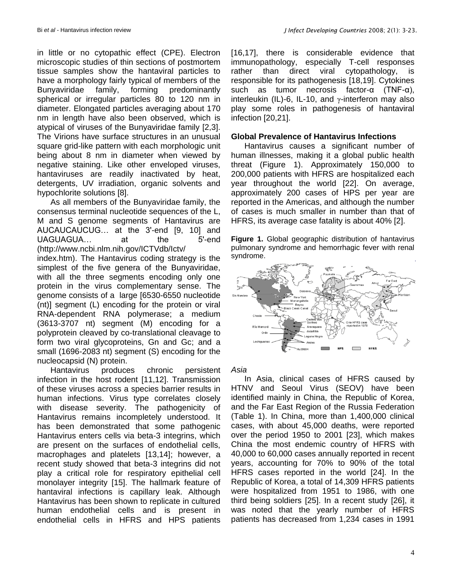in little or no cytopathic effect (CPE). Electron microscopic studies of thin sections of postmortem tissue samples show the hantaviral particles to have a morphology fairly typical of members of the Bunyaviridae family, forming predominantly spherical or irregular particles 80 to 120 nm in diameter. Elongated particles averaging about 170 nm in length have also been observed, which is atypical of viruses of the Bunyaviridae family [2,3]. The Virions have surface structures in an unusual square grid-like pattern with each morphologic unit being about 8 nm in diameter when viewed by negative staining. Like other enveloped viruses, hantaviruses are readily inactivated by heat, detergents, UV irradiation, organic solvents and hypochlorite solutions [8].

As all members of the Bunyaviridae family, the consensus terminal nucleotide sequences of the L, M and S genome segments of Hantavirus are AUCAUCAUCUG… at the 3'-end [9, 10] and UAGUAGUA… at the 5'-end (http://www.ncbi.nlm.nih.gov/ICTVdb/Ictv/

index.htm). The Hantavirus coding strategy is the simplest of the five genera of the Bunyaviridae, with all the three segments encoding only one protein in the virus complementary sense. The genome consists of a large [6530-6550 nucleotide (nt)] segment (L) encoding for the protein or viral RNA-dependent RNA polymerase; a medium (3613-3707 nt) segment (M) encoding for a polyprotein cleaved by co-translational cleavage to form two viral glycoproteins, Gn and Gc; and a small (1696-2083 nt) segment (S) encoding for the nucleocapsid (N) protein.

Hantavirus produces chronic persistent infection in the host rodent [11,12]. Transmission of these viruses across a species barrier results in human infections. Virus type correlates closely with disease severity. The pathogenicity of Hantavirus remains incompletely understood. It has been demonstrated that some pathogenic Hantavirus enters cells via beta-3 integrins, which are present on the surfaces of endothelial cells, macrophages and platelets [13,14]; however, a recent study showed that beta-3 integrins did not play a critical role for respiratory epithelial cell monolayer integrity [15]. The hallmark feature of hantaviral infections is capillary leak. Although Hantavirus has been shown to replicate in cultured human endothelial cells and is present in endothelial cells in HFRS and HPS patients

[16,17], there is considerable evidence that immunopathology, especially T-cell responses rather than direct viral cytopathology, is responsible for its pathogenesis [18,19]. Cytokines such as tumor necrosis factor-α (TNF-α), interleukin (IL)-6, IL-10, and  $\gamma$ -interferon may also play some roles in pathogenesis of hantaviral infection [20,21].

#### **Global Prevalence of Hantavirus Infections**

Hantavirus causes a significant number of human illnesses, making it a global public health threat (Figure 1). Approximately 150,000 to 200,000 patients with HFRS are hospitalized each year throughout the world [22]. On average, approximately 200 cases of HPS per year are reported in the Americas, and although the number of cases is much smaller in number than that of HFRS, its average case fatality is about 40% [2].

**Figure 1.** Global geographic distribution of hantavirus pulmonary syndrome and hemorrhagic fever with renal syndrome.



*Asia*

In Asia, clinical cases of HFRS caused by HTNV and Seoul Virus (SEOV) have been identified mainly in China, the Republic of Korea, and the Far East Region of the Russia Federation (Table 1). In China, more than 1,400,000 clinical cases, with about 45,000 deaths, were reported over the period 1950 to 2001 [23], which makes China the most endemic country of HFRS with 40,000 to 60,000 cases annually reported in recent years, accounting for 70% to 90% of the total HFRS cases reported in the world [24]. In the Republic of Korea, a total of 14,309 HFRS patients were hospitalized from 1951 to 1986, with one third being soldiers [25]. In a recent study [26], it was noted that the yearly number of HFRS patients has decreased from 1,234 cases in 1991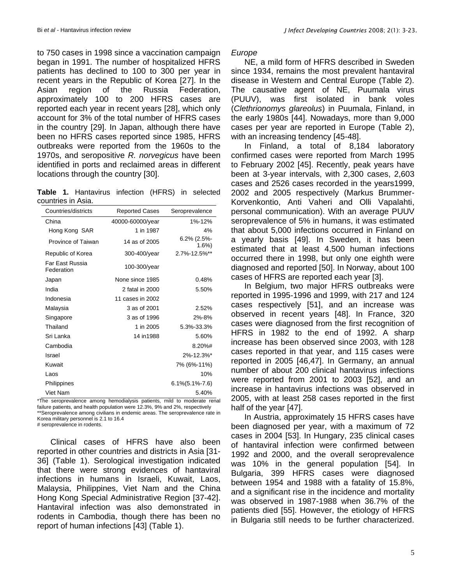to 750 cases in 1998 since a vaccination campaign began in 1991. The number of hospitalized HFRS patients has declined to 100 to 300 per year in recent years in the Republic of Korea [27]. In the Asian region of the Russia Federation, approximately 100 to 200 HFRS cases are reported each year in recent years [28], which only account for 3% of the total number of HFRS cases in the country [29]. In Japan, although there have been no HFRS cases reported since 1985, HFRS outbreaks were reported from the 1960s to the 1970s, and seropositive *R. norvegicus* have been identified in ports and reclaimed areas in different locations through the country [30].

**Table 1.** Hantavirus infection (HFRS) in selected countries in Asia.

| Countries/districts           | <b>Reported Cases</b>                                                | Seroprevalence                   |
|-------------------------------|----------------------------------------------------------------------|----------------------------------|
| China                         | 40000-60000/year                                                     | 1%-12%                           |
| Hong Kong SAR                 | 1 in 1987                                                            | 4%                               |
| Province of Taiwan            | 14 as of 2005                                                        | $6.2\%$ (2.5%-<br>$1.6\%$        |
| Republic of Korea             | 300-400/year                                                         | 2.7%-12.5%**                     |
| Far East Russia<br>Federation | 100-300/year                                                         |                                  |
| Japan                         | None since 1985                                                      | 0.48%                            |
| India                         | 2 fatal in 2000                                                      | 5.50%                            |
| Indonesia                     | 11 cases in 2002                                                     |                                  |
| Malaysia                      | 3 as of 2001                                                         | 2.52%                            |
| Singapore                     | 3 as of 1996                                                         | 2%-8%                            |
| Thailand                      | 1 in 2005                                                            | 5.3%-33.3%                       |
| Sri Lanka                     | 14 in1988                                                            | 5.60%                            |
| Cambodia                      |                                                                      | 8.20%#                           |
| Israel                        |                                                                      | 2%-12.3%*                        |
| Kuwait                        |                                                                      | 7% (6%-11%)                      |
| Laos                          |                                                                      | 10%                              |
| Philippines                   |                                                                      | $6.1\% (5.1\% - 7.6)$            |
| Viet Nam<br><b>TL.</b>        | المفاصلة فقامته والمتعاد والمكافرات<br>$\mathbf{L}$ and $\mathbf{L}$ | 5.40%<br>and that the a<br>$-1-$ |

\*The seroprevalence among hemodialysis patients, mild to moderate renal failure patients, and health population were 12.3%, 9% and 2%, respectively \*\*Seroprevalence among civilians in endemic areas. The seroprevalence rate in Korea military personnel is 2.1 to 16.4 # seroprevalence in rodents.

Clinical cases of HFRS have also been reported in other countries and districts in Asia [31- 36] (Table 1). Serological investigation indicated that there were strong evidences of hantaviral infections in humans in Israeli, Kuwait, Laos, Malaysia, Philippines, Viet Nam and the China Hong Kong Special Administrative Region [37-42]. Hantaviral infection was also demonstrated in rodents in Cambodia, though there has been no report of human infections [43] (Table 1).

#### *Europe*

NE, a mild form of HFRS described in Sweden since 1934, remains the most prevalent hantaviral disease in Western and Central Europe (Table 2). The causative agent of NE, Puumala virus (PUUV), was first isolated in bank voles (*Clethrionomys glareolus*) in Puumala, Finland, in the early 1980s [44]. Nowadays, more than 9,000 cases per year are reported in Europe (Table 2), with an increasing tendency [45-48].

In Finland, a total of 8,184 laboratory confirmed cases were reported from March 1995 to February 2002 [45]. Recently, peak years have been at 3-year intervals, with 2,300 cases, 2,603 cases and 2526 cases recorded in the years1999, 2002 and 2005 respectively (Markus Brummer-Korvenkontio, Anti Vaheri and Olli Vapalahti, personal communication). With an average PUUV seroprevalence of 5% in humans, it was estimated that about 5,000 infections occurred in Finland on a yearly basis [49]. In Sweden, it has been estimated that at least 4,500 human infections occurred there in 1998, but only one eighth were diagnosed and reported [50]. In Norway, about 100 cases of HFRS are reported each year [3].

In Belgium, two major HFRS outbreaks were reported in 1995-1996 and 1999, with 217 and 124 cases respectively [51], and an increase was observed in recent years [48]. In France, 320 cases were diagnosed from the first recognition of HFRS in 1982 to the end of 1992. A sharp increase has been observed since 2003, with 128 cases reported in that year, and 115 cases were reported in 2005 [46,47]. In Germany, an annual number of about 200 clinical hantavirus infections were reported from 2001 to 2003 [52], and an increase in hantavirus infections was observed in 2005, with at least 258 cases reported in the first half of the year [47].

In Austria, approximately 15 HFRS cases have been diagnosed per year, with a maximum of 72 cases in 2004 [53]. In Hungary, 235 clinical cases of hantaviral infection were confirmed between 1992 and 2000, and the overall seroprevalence was 10% in the general population [54]. In Bulgaria, 399 HFRS cases were diagnosed between 1954 and 1988 with a fatality of 15.8%, and a significant rise in the incidence and mortality was observed in 1987-1988 when 36.7% of the patients died [55]. However, the etiology of HFRS in Bulgaria still needs to be further characterized.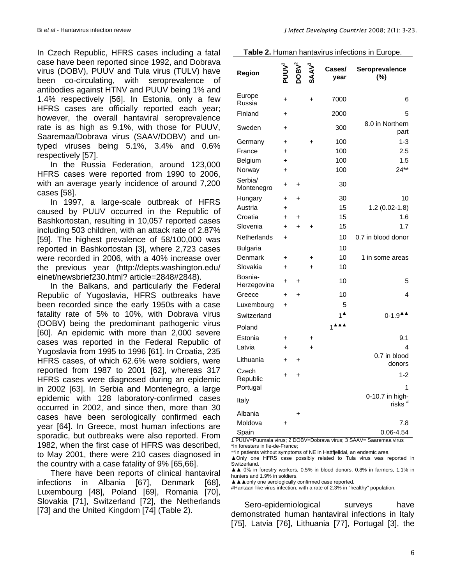In Czech Republic, HFRS cases including a fatal case have been reported since 1992, and Dobrava virus (DOBV), PUUV and Tula virus (TULV) have been co-circulating, with seroprevalence of antibodies against HTNV and PUUV being 1% and 1.4% respectively [56]. In Estonia, only a few HFRS cases are officially reported each year; however, the overall hantaviral seroprevalence rate is as high as 9.1%, with those for PUUV, Saaremaa/Dobrava virus (SAAV/DOBV) and untyped viruses being 5.1%, 3.4% and 0.6% respectively [57].

In the Russia Federation, around 123,000 HFRS cases were reported from 1990 to 2006, with an average yearly incidence of around 7,200 cases [58].

In 1997, a large-scale outbreak of HFRS caused by PUUV occurred in the Republic of Bashkortostan, resulting in 10,057 reported cases including 503 children, with an attack rate of 2.87% [59]. The highest prevalence of 58/100,000 was reported in Bashkortostan [3], where 2,723 cases were recorded in 2006, with a 40% increase over the previous year (http://depts.washington.edu/ einet/newsbrief230.html? article=2848#2848).

In the Balkans, and particularly the Federal Republic of Yugoslavia, HFRS outbreaks have been recorded since the early 1950s with a case fatality rate of 5% to 10%, with Dobrava virus (DOBV) being the predominant pathogenic virus [60]. An epidemic with more than 2,000 severe cases was reported in the Federal Republic of Yugoslavia from 1995 to 1996 [61]. In Croatia, 235 HFRS cases, of which 62.6% were soldiers, were reported from 1987 to 2001 [62], whereas 317 HFRS cases were diagnosed during an epidemic in 2002 [63]. In Serbia and Montenegro, a large epidemic with 128 laboratory-confirmed cases occurred in 2002, and since then, more than 30 cases have been serologically confirmed each year [64]. In Greece, most human infections are sporadic, but outbreaks were also reported. From 1982, when the first case of HFRS was described, to May 2001, there were 210 cases diagnosed in the country with a case fatality of 9% [65,66].

There have been reports of clinical hantaviral infections in Albania [67], Denmark [68], Luxembourg [48], Poland [69], Romania [70], Slovakia [71], Switzerland [72], the Netherlands [73] and the United Kingdom [74] (Table 2).

| Table 2. Human hantavirus infections in Europe. |
|-------------------------------------------------|
|-------------------------------------------------|

| Region                 |           |           |           | Cases/<br>year | Seroprevalence<br>(%)                   |
|------------------------|-----------|-----------|-----------|----------------|-----------------------------------------|
| Europe<br>Russia       | $\ddot{}$ |           | $\ddot{}$ | 7000           | 6                                       |
| Finland                | ∔         |           |           | 2000           | 5                                       |
| Sweden                 | +         |           |           | 300            | 8.0 in Northern<br>part                 |
| Germany                | $\ddot{}$ |           | ٠         | 100            | $1 - 3$                                 |
| France                 | +         |           |           | 100            | 2.5                                     |
| Belgium                | $\ddot{}$ |           |           | 100            | 1.5                                     |
| Norway                 | $\ddot{}$ |           |           | 100            | $24**$                                  |
| Serbia/<br>Montenegro  | +         | $\ddot{}$ |           | 30             |                                         |
| Hungary                | +         | $\ddot{}$ |           | 30             | 10                                      |
| Austria                | $\ddot{}$ |           |           | 15             | $1.2(0.02-1.8)$                         |
| Croatia                | $\ddot{}$ | $\ddot{}$ |           | 15             | 1.6                                     |
| Slovenia               | +         | ÷.        | +         | 15             | 1.7                                     |
| Netherlands            | $\ddot{}$ |           |           | 10             | 0.7 in blood donor                      |
| <b>Bulgaria</b>        |           |           |           | 10             |                                         |
| Denmark                | $\ddot{}$ |           | +         | 10             | 1 in some areas                         |
| Slovakia               | +         |           | +         | 10             |                                         |
| Bosnia-<br>Herzegovina | $\ddot{}$ | ÷         |           | 10             | 5                                       |
| Greece                 | +         | $\ddot{}$ |           | 10             | 4                                       |
| Luxembourg             | $\ddot{}$ |           |           | 5              |                                         |
| Switzerland            |           |           |           |                | $0-1.9$ <sup>A</sup>                    |
| Poland                 |           |           |           |                |                                         |
| Estonia                | +         |           | +         |                | 9.1                                     |
| Latvia                 |           |           | ÷         |                | 4                                       |
| Lithuania              | +         | $\ddot{}$ |           |                | 0.7 in blood<br>donors                  |
| Czech<br>Republic      | $\ddot{}$ | ÷         |           |                | $1 - 2$                                 |
| Portugal               |           |           |           |                | 1                                       |
| Italy                  |           |           |           |                | $0-10.7$ in high-<br>risks <sup>#</sup> |
| Albania                |           | Ŧ.        |           |                |                                         |
| Moldova                | ٠         |           |           |                | 7.8                                     |
| Spain                  |           |           |           |                | 0.06-4.54                               |

1 PUUV=Puumala virus; 2 DOBV=Dobrava virus; 3 SAAV= Saaremaa virus \*In foresters in Ile-de-France;

\*\*In patients without symptoms of NE in Hattfjelldal, an endemic area

▲Only one HFRS case possibly related to Tula virus was reported in Switzerland.

▲▲ 0% in forestry workers, 0.5% in blood donors, 0.8% in farmers, 1.1% in hunters and 1.9% in soldiers.

▲▲ only one serologically confirmed case reported.

#Hantaan-like virus infection, with a rate of 2.3% in "healthy" population.

Sero-epidemiological surveys have demonstrated human hantaviral infections in Italy [75], Latvia [76], Lithuania [77], Portugal [3], the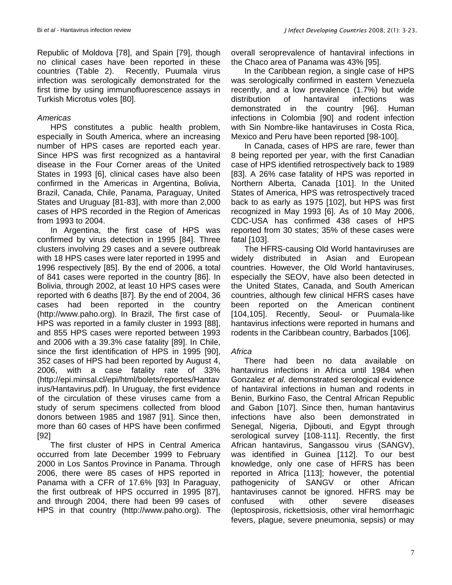Republic of Moldova [78], and Spain [79], though no clinical cases have been reported in these countries (Table 2). Recently, Puumala virus infection was serologically demonstrated for the first time by using immunofluorescence assays in Turkish Microtus voles [80].

## *Americas*

HPS constitutes a public health problem, especially in South America, where an increasing number of HPS cases are reported each year. Since HPS was first recognized as a hantaviral disease in the Four Corner areas of the United States in 1993 [6], clinical cases have also been confirmed in the Americas in Argentina, Bolivia, Brazil, Canada, Chile, Panama, Paraguay, United States and Uruguay [81-83], with more than 2,000 cases of HPS recorded in the Region of Americas from 1993 to 2004.

In Argentina, the first case of HPS was confirmed by virus detection in 1995 [84]. Three clusters involving 29 cases and a severe outbreak with 18 HPS cases were later reported in 1995 and 1996 respectively [85]. By the end of 2006, a total of 841 cases were reported in the country [86]. In Bolivia, through 2002, at least 10 HPS cases were reported with 6 deaths [87]. By the end of 2004, 36 cases had been reported in the country (http://www.paho.org). In Brazil, The first case of HPS was reported in a family cluster in 1993 [88], and 855 HPS cases were reported between 1993 and 2006 with a 39.3% case fatality [89]. In Chile, since the first identification of HPS in 1995 [90], 352 cases of HPS had been reported by August 4, 2006, with a case fatality rate of 33% [\(http://epi.minsal.cl/epi/html/bolets/r](http://epi.minsal.cl/epi/html/bolets/)eportes/Hantav irus/Hantavirus.pdf). In Uruguay, the first evidence of the circulation of these viruses came from a study of serum specimens collected from blood donors between 1985 and 1987 [91]. Since then, more than 60 cases of HPS have been confirmed [92]

The first cluster of HPS in Central America occurred from late December 1999 to February 2000 in Los Santos Province in Panama. Through 2006, there were 85 cases of HPS reported in Panama with a CFR of 17.6% [93] In Paraguay, the first outbreak of HPS occurred in 1995 [87], and through 2004, there had been 99 cases of HPS in that country (http://www.paho.org). The

overall seroprevalence of hantaviral infections in the Chaco area of Panama was 43% [95].

In the Caribbean region, a single case of HPS was serologically confirmed in eastern Venezuela recently, and a low prevalence (1.7%) but wide distribution of hantaviral infections was demonstrated in the country [96]. Human infections in Colombia [90] and rodent infection with Sin Nombre-like hantaviruses in Costa Rica, Mexico and Peru have been reported [98-100].

In Canada, cases of HPS are rare, fewer than 8 being reported per year, with the first Canadian case of HPS identified retrospectively back to 1989 [83]. A 26% case fatality of HPS was reported in Northern Alberta, Canada [101]. In the United States of America, HPS was retrospectively traced back to as early as 1975 [102], but HPS was first recognized in May 1993 [6]. As of 10 May 2006, CDC-USA has confirmed 438 cases of HPS reported from 30 states; 35% of these cases were fatal [103].

The HFRS-causing Old World hantaviruses are widely distributed in Asian and European countries. However, the Old World hantaviruses, especially the SEOV, have also been detected in the United States, Canada, and South American countries, although few clinical HFRS cases have been reported on the American continent [104,105]. Recently, Seoul- or Puumala-like hantavirus infections were reported in humans and rodents in the Caribbean country, Barbados [106].

### *Africa*

There had been no data available on hantavirus infections in Africa until 1984 when Gonzalez *et al.* demonstrated serological evidence of hantaviral infections in human and rodents in Benin, Burkino Faso, the Central African Republic and Gabon [107]. Since then, human hantavirus infections have also been demonstrated in Senegal, Nigeria, Djibouti, and Egypt through serological survey [108-111]. Recently, the first African hantavirus, Sangassou virus (SANGV), was identified in Guinea [112]. To our best knowledge, only one case of HFRS has been reported in Africa [113]; however, the potential pathogenicity of SANGV or other African hantaviruses cannot be ignored. HFRS may be confused with other severe diseases (leptospirosis, rickettsiosis, other viral hemorrhagic fevers, plague, severe pneumonia, sepsis) or may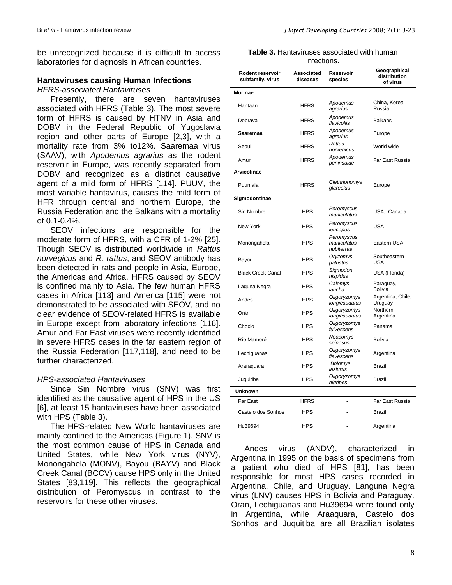be unrecognized because it is difficult to access laboratories for diagnosis in African countries.

#### **Hantaviruses causing Human Infections**

#### *HFRS-associated Hantaviruses*

Presently, there are seven hantaviruses associated with HFRS (Table 3). The most severe form of HFRS is caused by HTNV in Asia and DOBV in the Federal Republic of Yugoslavia region and other parts of Europe [2,3], with a mortality rate from 3% to12%. Saaremaa virus (SAAV), with *Apodemus agrarius* as the rodent reservoir in Europe, was recently separated from DOBV and recognized as a distinct causative agent of a mild form of HFRS [114]. PUUV, the most variable hantavirus, causes the mild form of HFR through central and northern Europe, the Russia Federation and the Balkans with a mortality of 0.1-0.4%.

SEOV infections are responsible for the moderate form of HFRS, with a CFR of 1-2% [25]. Though SEOV is distributed worldwide in *Rattus norvegicus* and *R. rattus*, and SEOV antibody has been detected in rats and people in Asia, Europe, the Americas and Africa, HFRS caused by SEOV is confined mainly to Asia. The few human HFRS cases in Africa [113] and America [115] were not demonstrated to be associated with SEOV, and no clear evidence of SEOV-related HFRS is available in Europe except from laboratory infections [116]. Amur and Far East viruses were recently identified in severe HFRS cases in the far eastern region of the Russia Federation [117,118], and need to be further characterized.

### *HPS-associated Hantaviruses*

Since Sin Nombre virus (SNV) was first identified as the causative agent of HPS in the US [6], at least 15 hantaviruses have been associated with HPS (Table 3).

The HPS-related New World hantaviruses are mainly confined to the Americas (Figure 1). SNV is the most common cause of HPS in Canada and United States, while New York virus (NYV), Monongahela (MONV), Bayou (BAYV) and Black Creek Canal (BCCV) cause HPS only in the United States [83,119]. This reflects the geographical distribution of Peromyscus in contrast to the reservoirs for these other viruses.

|  | J Infect Developing Countries 2008; 2(1): 3-23. |  |  |
|--|-------------------------------------------------|--|--|
|  |                                                 |  |  |

**Table 3.** Hantaviruses associated with human

| infections.                          |                        |                                         |                                          |  |  |
|--------------------------------------|------------------------|-----------------------------------------|------------------------------------------|--|--|
| Rodent reservoir<br>subfamily, virus | Associated<br>diseases | Reservoir<br>species                    | Geographical<br>distribution<br>of virus |  |  |
| <b>Murinae</b>                       |                        |                                         |                                          |  |  |
| Hantaan                              | HFRS                   | Apodemus<br>agrarius                    | China, Korea,<br>Russia                  |  |  |
| Dobrava                              | <b>HFRS</b>            | Apodemus<br>flavicollis                 | <b>Balkans</b>                           |  |  |
| Saaremaa                             | <b>HFRS</b>            | Apodemus<br>agrarius                    | Europe                                   |  |  |
| Seoul                                | <b>HFRS</b>            | Rattus<br>norvegicus                    | World wide                               |  |  |
| Amur                                 | <b>HFRS</b>            | Apodemus<br>peninsulae                  | Far East Russia                          |  |  |
| <b>Arvicolinae</b>                   |                        |                                         |                                          |  |  |
| Puumala                              | <b>HFRS</b>            | Clethrionomys<br>glareolus              | Europe                                   |  |  |
| Sigmodontinae                        |                        |                                         |                                          |  |  |
| Sin Nombre                           | <b>HPS</b>             | Peromyscus<br>maniculatus               | USA, Canada                              |  |  |
| New York                             | <b>HPS</b>             | Peromyscus<br>leucopus                  | <b>USA</b>                               |  |  |
| Monongahela                          | <b>HPS</b>             | Peromyscus<br>maniculatus<br>nubiterrae | Eastern USA                              |  |  |
| Bayou                                | <b>HPS</b>             | Oryzomys<br>palustris                   | Southeastern<br><b>USA</b>               |  |  |
| <b>Black Creek Canal</b>             | <b>HPS</b>             | Sigmodon<br>hispidus                    | USA (Florida)                            |  |  |
| Laguna Negra                         | <b>HPS</b>             | Calomys<br>laucha                       | Paraguay,<br>Bolivia                     |  |  |
| Andes                                | <b>HPS</b>             | Oligoryzomys<br>longicaudatus           | Argentina, Chile,<br>Uruguay             |  |  |
| Orán                                 | <b>HPS</b>             | Oligoryzomys<br>longicaudatus           | Northern<br>Argentina                    |  |  |
| Choclo                               | <b>HPS</b>             | Oligoryzomys<br>fulvescens              | Panama                                   |  |  |
| Río Mamoré                           | <b>HPS</b>             | Neacomys<br>spinosus                    | <b>Bolivia</b>                           |  |  |
| Lechiguanas                          | <b>HPS</b>             | Oligoryzomys<br>flavescens              | Argentina                                |  |  |
| Araraguara                           | <b>HPS</b>             | <b>Bolomys</b><br>lasiurus              | <b>Brazil</b>                            |  |  |
| Juquitiba                            | <b>HPS</b>             | Oligoryzomys<br>nigripes                | <b>Brazil</b>                            |  |  |
| Unknown                              |                        |                                         |                                          |  |  |
| Far East                             | <b>HFRS</b>            |                                         | Far East Russia                          |  |  |
| Castelo dos Sonhos                   | HPS                    |                                         | Brazil                                   |  |  |
| Hu39694                              | <b>HPS</b>             |                                         | Argentina                                |  |  |

Andes virus (ANDV), characterized in Argentina in 1995 on the basis of specimens from a patient who died of HPS [81], has been responsible for most HPS cases recorded in Argentina, Chile, and Uruguay. Languna Negra virus (LNV) causes HPS in Bolivia and Paraguay. Oran, Lechiguanas and Hu39694 were found only in Argentina, while Araaquara, Castelo dos Sonhos and Juquitiba are all Brazilian isolates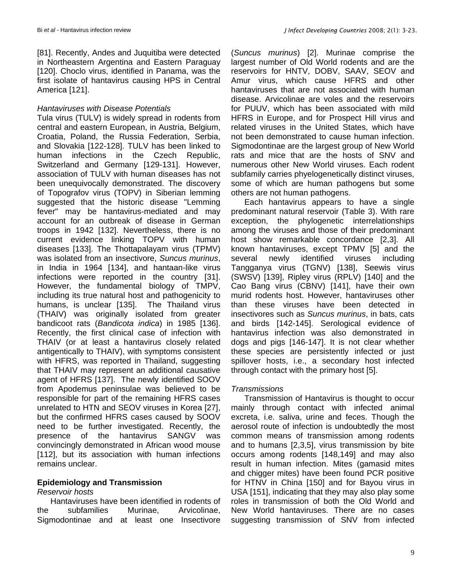[81]. Recently, Andes and Juquitiba were detected in Northeastern Argentina and Eastern Paraguay [120]. Choclo virus, identified in Panama, was the first isolate of hantavirus causing HPS in Central America [121].

#### *Hantaviruses with Disease Potentials*

Tula virus (TULV) is widely spread in rodents from central and eastern European, in Austria, Belgium, Croatia, Poland, the Russia Federation, Serbia, and Slovakia [122-128]. TULV has been linked to human infections in the Czech Republic, Switzerland and Germany [129-131]. However, association of TULV with human diseases has not been unequivocally demonstrated. The discovery of Topografov virus (TOPV) in Siberian lemming suggested that the historic disease "Lemming fever" may be hantavirus-mediated and may account for an outbreak of disease in German troops in 1942 [132]. Nevertheless, there is no current evidence linking TOPV with human diseases [133]. The Thottapalayam virus (TPMV) was isolated from an insectivore, *Suncus murinus*, in India in 1964 [134], and hantaan-like virus infections were reported in the country [31]. However, the fundamental biology of TMPV, including its true natural host and pathogenicity to humans, is unclear [135]. The Thailand virus (THAIV) was originally isolated from greater bandicoot rats (*Bandicota indica*) in 1985 [136]. Recently, the first clinical case of infection with THAIV (or at least a hantavirus closely related antigentically to THAIV), with symptoms consistent with HFRS, was reported in Thailand, suggesting that THAIV may represent an additional causative agent of HFRS [137]. The newly identified SOOV from Apodemus peninsulae was believed to be responsible for part of the remaining HFRS cases unrelated to HTN and SEOV viruses in Korea [27], but the confirmed HFRS cases caused by SOOV need to be further investigated. Recently, the presence of the hantavirus SANGV was convincingly demonstrated in African wood mouse [112], but its association with human infections remains unclear.

### **Epidemiology and Transmission**

### *Reservoir hosts*

Hantaviruses have been identified in rodents of the subfamilies Murinae, Arvicolinae, Sigmodontinae and at least one Insectivore (*Suncus murinus*) [2]. Murinae comprise the largest number of Old World rodents and are the reservoirs for HNTV, DOBV, SAAV, SEOV and Amur virus, which cause HFRS and other hantaviruses that are not associated with human disease. Arvicolinae are voles and the reservoirs for PUUV, which has been associated with mild HFRS in Europe, and for Prospect Hill virus and related viruses in the United States, which have not been demonstrated to cause human infection. Sigmodontinae are the largest group of New World rats and mice that are the hosts of SNV and numerous other New World viruses. Each rodent subfamily carries phyelogenetically distinct viruses, some of which are human pathogens but some others are not human pathogens.

Each hantavirus appears to have a single predominant natural reservoir (Table 3). With rare exception, the phylogenetic interrelationships among the viruses and those of their predominant host show remarkable concordance [2,3]. All known hantaviruses, except TPMV [5] and the several newly identified viruses including Tangganya virus (TGNV) [138], Seewis virus (SWSV) [139], Ripley virus (RPLV) [140] and the Cao Bang virus (CBNV) [141], have their own murid rodents host. However, hantaviruses other than these viruses have been detected in insectivores such as *Suncus murinus*, in bats, cats and birds [142-145]. Serological evidence of hantavirus infection was also demonstrated in dogs and pigs [146-147]. It is not clear whether these species are persistently infected or just spillover hosts, i.e., a secondary host infected through contact with the primary host [5].

### *Transmissions*

Transmission of Hantavirus is thought to occur mainly through contact with infected animal excreta, i.e. saliva, urine and feces. Though the aerosol route of infection is undoubtedly the most common means of transmission among rodents and to humans [2,3,5], virus transmission by bite occurs among rodents [148,149] and may also result in human infection. Mites (gamasid mites and chigger mites) have been found PCR positive for HTNV in China [150] and for Bayou virus in USA [151], indicating that they may also play some roles in transmission of both the Old World and New World hantaviruses. There are no cases suggesting transmission of SNV from infected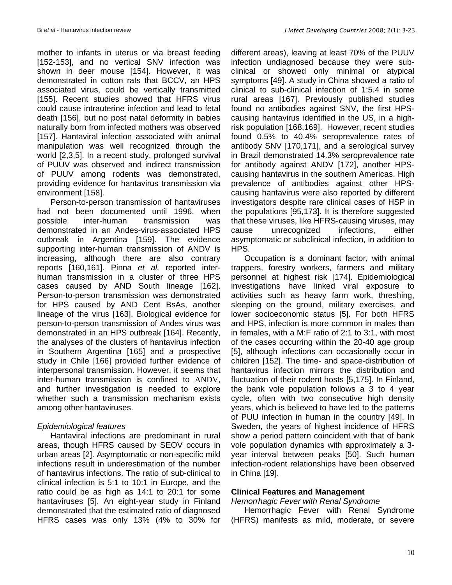mother to infants in uterus or via breast feeding [152-153], and no vertical SNV infection was shown in deer mouse [154]. However, it was demonstrated in cotton rats that BCCV, an HPS associated virus, could be vertically transmitted [155]. Recent studies showed that HFRS virus could cause intrauterine infection and lead to fetal death [156], but no post natal deformity in babies naturally born from infected mothers was observed [157]. Hantaviral infection associated with animal manipulation was well recognized through the world [2,3,5]. In a recent study, prolonged survival of PUUV was observed and indirect transmission of PUUV among rodents was demonstrated, providing evidence for hantavirus transmission via environment [158].

Person-to-person transmission of hantaviruses had not been documented until 1996, when possible inter-human transmission was demonstrated in an Andes-virus-associated HPS outbreak in Argentina [159]. The evidence supporting inter-human transmission of ANDV is increasing, although there are also contrary reports [160,161]. Pinna *et al.* reported interhuman transmission in a cluster of three HPS cases caused by AND South lineage [162]. Person-to-person transmission was demonstrated for HPS caused by AND Cent BsAs, another lineage of the virus [163]. Biological evidence for person-to-person transmission of Andes virus was demonstrated in an HPS outbreak [164]. Recently, the analyses of the clusters of hantavirus infection in Southern Argentina [165] and a prospective study in Chile [166] provided further evidence of interpersonal transmission. However, it seems that inter-human transmission is confined to ANDV, and further investigation is needed to explore whether such a transmission mechanism exists among other hantaviruses.

## *Epidemiological features*

Hantaviral infections are predominant in rural areas, though HFRS caused by SEOV occurs in urban areas [2]. Asymptomatic or non-specific mild infections result in underestimation of the number of hantavirus infections. The ratio of sub-clinical to clinical infection is 5:1 to 10:1 in Europe, and the ratio could be as high as 14:1 to 20:1 for some hantaviruses [5]. An eight-year study in Finland demonstrated that the estimated ratio of diagnosed HFRS cases was only 13% (4% to 30% for different areas), leaving at least 70% of the PUUV infection undiagnosed because they were subclinical or showed only minimal or atypical symptoms [49]. A study in China showed a ratio of clinical to sub-clinical infection of 1:5.4 in some rural areas [167]. Previously published studies found no antibodies against SNV, the first HPScausing hantavirus identified in the US, in a highrisk population [168,169]. However, recent studies found 0.5% to 40.4% seroprevalence rates of antibody SNV [170,171], and a serological survey in Brazil demonstrated 14.3% seroprevalence rate for antibody against ANDV [172], another HPScausing hantavirus in the southern Americas. High prevalence of antibodies against other HPScausing hantavirus were also reported by different investigators despite rare clinical cases of HSP in the populations [95,173]. It is therefore suggested that these viruses, like HFRS-causing viruses, may cause unrecognized infections, either asymptomatic or subclinical infection, in addition to HPS.

Occupation is a dominant factor, with animal trappers, forestry workers, farmers and military personnel at highest risk [174]. Epidemiological investigations have linked viral exposure to activities such as heavy farm work, threshing, sleeping on the ground, military exercises, and lower socioeconomic status [5]. For both HFRS and HPS, infection is more common in males than in females, with a M:F ratio of 2:1 to 3:1, with most of the cases occurring within the 20-40 age group [5], although infections can occasionally occur in children [152]. The time- and space-distribution of hantavirus infection mirrors the distribution and fluctuation of their rodent hosts [5,175]. In Finland, the bank vole population follows a 3 to 4 year cycle, often with two consecutive high density years, which is believed to have led to the patterns of PUU infection in human in the country [49]. In Sweden, the years of highest incidence of HFRS show a period pattern coincident with that of bank vole population dynamics with approximately a 3 year interval between peaks [50]. Such human infection-rodent relationships have been observed in China [19].

### **Clinical Features and Management**

#### *Hemorrhagic Fever with Renal Syndrome*

Hemorrhagic Fever with Renal Syndrome (HFRS) manifests as mild, moderate, or severe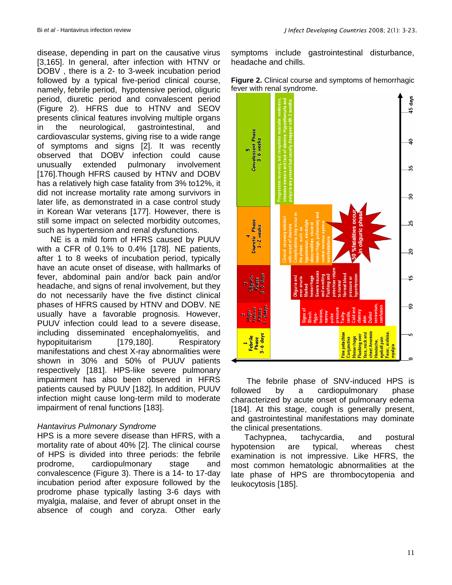disease, depending in part on the causative virus [3,165]. In general, after infection with HTNV or DOBV , there is a 2- to 3-week incubation period followed by a typical five-period clinical course, namely, febrile period, hypotensive period, oliguric period, diuretic period and convalescent period (Figure 2). HFRS due to HTNV and SEOV presents clinical features involving multiple organs in the neurological, gastrointestinal, and cardiovascular systems, giving rise to a wide range of symptoms and signs [2]. It was recently observed that DOBV infection could cause unusually extended pulmonary involvement [176].Though HFRS caused by HTNV and DOBV has a relatively high case fatality from 3% to12%, it did not increase mortality rate among survivors in later life, as demonstrated in a case control study in Korean War veterans [177]. However, there is still some impact on selected morbidity outcomes, such as hypertension and renal dysfunctions.

NE is a mild form of HFRS caused by PUUV with a CFR of 0.1% to 0.4% [178]. NE patients, after 1 to 8 weeks of incubation period, typically have an acute onset of disease, with hallmarks of fever, abdominal pain and/or back pain and/or headache, and signs of renal involvement, but they do not necessarily have the five distinct clinical phases of HFRS caused by HTNV and DOBV. NE usually have a favorable prognosis. However, PUUV infection could lead to a severe disease, including disseminated encephalomyelitis, and hypopituitarism [179,180]. Respiratory manifestations and chest X-ray abnormalities were shown in 30% and 50% of PUUV patients respectively [181]. HPS-like severe pulmonary impairment has also been observed in HFRS patients caused by PUUV [182]. In addition, PUUV infection might cause long-term mild to moderate impairment of renal functions [183].

### *Hantavirus Pulmonary Syndrome*

HPS is a more severe disease than HFRS, with a mortality rate of about 40% [2]. The clinical course of HPS is divided into three periods: the febrile prodrome, cardiopulmonary stage and convalescence (Figure 3). There is a 14- to 17-day incubation period after exposure followed by the prodrome phase typically lasting 3-6 days with myalgia, malaise, and fever of abrupt onset in the absence of cough and coryza. Other early symptoms include gastrointestinal disturbance, headache and chills.





The febrile phase of SNV-induced HPS is followed by a cardiopulmonary phase characterized by acute onset of pulmonary edema [184]. At this stage, cough is generally present, and gastrointestinal manifestations may dominate the clinical presentations.

Tachypnea, tachycardia, and postural hypotension are typical, whereas chest examination is not impressive. Like HFRS, the most common hematologic abnormalities at the late phase of HPS are thrombocytopenia and leukocytosis [185].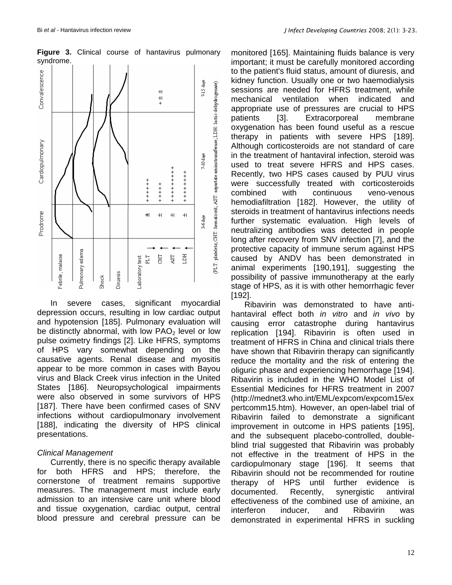

**Figure 3.** Clinical course of hantavirus pulmonary syndrome.

In severe cases, significant myocardial depression occurs, resulting in low cardiac output and hypotension [185]. Pulmonary evaluation will be distinctly abnormal, with low  $PAO<sub>2</sub>$  level or low pulse oximetry findings [2]. Like HFRS, symptoms of HPS vary somewhat depending on the causative agents. Renal disease and myositis appear to be more common in cases with Bayou virus and Black Creek virus infection in the United States [186]. Neuropsychological impairments were also observed in some survivors of HPS [187]. There have been confirmed cases of SNV infections without cardiopulmonary involvement [188], indicating the diversity of HPS clinical presentations.

### *Clinical Management*

Currently, there is no specific therapy available for both HFRS and HPS; therefore, the cornerstone of treatment remains supportive measures. The management must include early admission to an intensive care unit where blood and tissue oxygenation, cardiac output, central blood pressure and cerebral pressure can be monitored [165]. Maintaining fluids balance is very important; it must be carefully monitored according to the patient's fluid status, amount of diuresis, and kidney function. Usually one or two haemodialysis sessions are needed for HFRS treatment, while mechanical ventilation when indicated and appropriate use of pressures are crucial to HPS patients [3]. Extracorporeal membrane oxygenation has been found useful as a rescue therapy in patients with severe HPS [189]. Although corticosteroids are not standard of care in the treatment of hantaviral infection, steroid was used to treat severe HFRS and HPS cases. Recently, two HPS cases caused by PUU virus were successfully treated with corticosteroids combined with continuous veno-venous hemodiafiltration [182]. However, the utility of steroids in treatment of hantavirus infections needs further systematic evaluation. High levels of neutralizing antibodies was detected in people long after recovery from SNV infection [7], and the protective capacity of immune serum against HPS caused by ANDV has been demonstrated in animal experiments [190,191], suggesting the possibility of passive immunotherapy at the early stage of HPS, as it is with other hemorrhagic fever [192].

Ribavirin was demonstrated to have antihantaviral effect both *in vitro* and *in vivo* by causing error catastrophe during hantavirus replication [194]. Ribavirin is often used in treatment of HFRS in China and clinical trials there have shown that Ribavirin therapy can significantly reduce the mortality and the risk of entering the oliguric phase and experiencing hemorrhage [194]. Ribavirin is included in the WHO Model List of Essential Medicines for HFRS treatment in 2007 [\(http://mednet3.who.int/EML/expcom/e](http://mednet3.who.int/EML/expcom/)xpcom15/ex pertcomm15.htm). However, an open-label trial of Ribavirin failed to demonstrate a significant improvement in outcome in HPS patients [195], and the subsequent placebo-controlled, doubleblind trial suggested that Ribavirin was probably not effective in the treatment of HPS in the cardiopulmonary stage [196]. It seems that Ribavirin should not be recommended for routine therapy of HPS until further evidence is documented. Recently, synergistic antiviral effectiveness of the combined use of amixine, an interferon inducer, and Ribavirin was demonstrated in experimental HFRS in suckling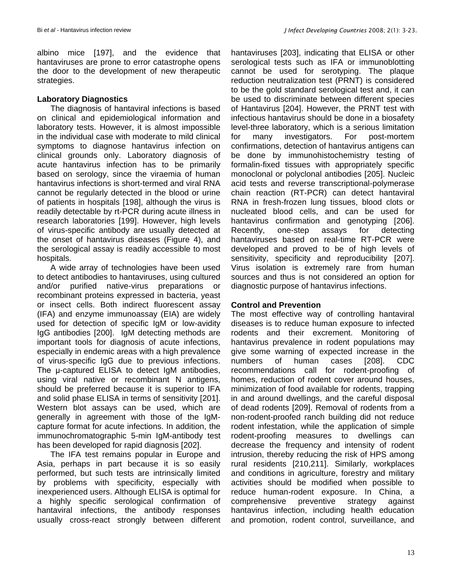albino mice [197], and the evidence that hantaviruses are prone to error catastrophe opens the door to the development of new therapeutic strategies.

### **Laboratory Diagnostics**

The diagnosis of hantaviral infections is based on clinical and epidemiological information and laboratory tests. However, it is almost impossible in the individual case with moderate to mild clinical symptoms to diagnose hantavirus infection on clinical grounds only. Laboratory diagnosis of acute hantavirus infection has to be primarily based on serology, since the viraemia of human hantavirus infections is short-termed and viral RNA cannot be regularly detected in the blood or urine of patients in hospitals [198], although the virus is readily detectable by rt-PCR during acute illness in research laboratories [199]. However, high levels of virus-specific antibody are usually detected at the onset of hantavirus diseases (Figure 4), and the serological assay is readily accessible to most hospitals.

A wide array of technologies have been used to detect antibodies to hantaviruses, using cultured and/or purified native-virus preparations or recombinant proteins expressed in bacteria, yeast or insect cells. Both indirect fluorescent assay (IFA) and enzyme immunoassay (EIA) are widely used for detection of specific IgM or low-avidity IgG antibodies [200]. IgM detecting methods are important tools for diagnosis of acute infections, especially in endemic areas with a high prevalence of virus-specific IgG due to previous infections. The μ-captured ELISA to detect IgM antibodies, using viral native or recombinant N antigens, should be preferred because it is superior to IFA and solid phase ELISA in terms of sensitivity [201]. Western blot assays can be used, which are generally in agreement with those of the IgMcapture format for acute infections. In addition, the immunochromatographic 5-min IgM-antibody test has been developed for rapid diagnosis [202].

The IFA test remains popular in Europe and Asia, perhaps in part because it is so easily performed, but such tests are intrinsically limited by problems with specificity, especially with inexperienced users. Although ELISA is optimal for a highly specific serological confirmation of hantaviral infections, the antibody responses usually cross-react strongly between different

hantaviruses [203], indicating that ELISA or other serological tests such as IFA or immunoblotting cannot be used for serotyping. The plaque reduction neutralization test (PRNT) is considered to be the gold standard serological test and, it can be used to discriminate between different species of Hantavirus [204]. However, the PRNT test with infectious hantavirus should be done in a biosafety level-three laboratory, which is a serious limitation for many investigators. For post-mortem confirmations, detection of hantavirus antigens can be done by immunohistochemistry testing of formalin-fixed tissues with appropriately specific monoclonal or polyclonal antibodies [205]. Nucleic acid tests and reverse transcriptional-polymerase chain reaction (RT-PCR) can detect hantaviral RNA in fresh-frozen lung tissues, blood clots or nucleated blood cells, and can be used for hantavirus confirmation and genotyping [206]. Recently, one-step assays for detecting hantaviruses based on real-time RT-PCR were developed and proved to be of high levels of sensitivity, specificity and reproducibility [207]. Virus isolation is extremely rare from human sources and thus is not considered an option for diagnostic purpose of hantavirus infections.

### **Control and Prevention**

The most effective way of controlling hantaviral diseases is to reduce human exposure to infected rodents and their excrement. Monitoring of hantavirus prevalence in rodent populations may give some warning of expected increase in the numbers of human cases [208]. CDC recommendations call for rodent-proofing of homes, reduction of rodent cover around houses, minimization of food available for rodents, trapping in and around dwellings, and the careful disposal of dead rodents [209]. Removal of rodents from a non-rodent-proofed ranch building did not reduce rodent infestation, while the application of simple rodent-proofing measures to dwellings can decrease the frequency and intensity of rodent intrusion, thereby reducing the risk of HPS among rural residents [210,211]. Similarly, workplaces and conditions in agriculture, forestry and military activities should be modified when possible to reduce human-rodent exposure. In China, a comprehensive preventive strategy against hantavirus infection, including health education and promotion, rodent control, surveillance, and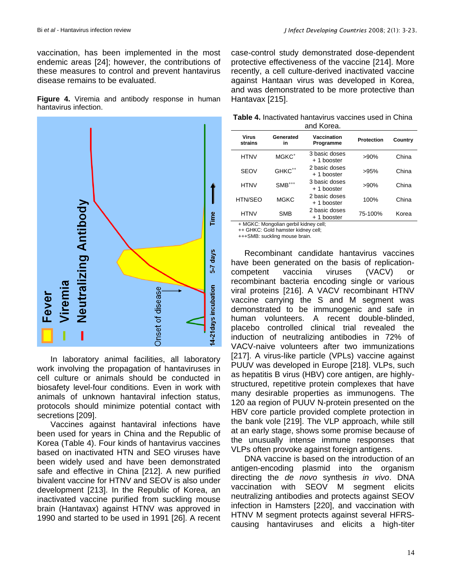vaccination, has been implemented in the most endemic areas [24]; however, the contributions of these measures to control and prevent hantavirus disease remains to be evaluated.

**Figure 4.** Viremia and antibody response in human hantavirus infection.



In laboratory animal facilities, all laboratory work involving the propagation of hantaviruses in cell culture or animals should be conducted in biosafety level-four conditions. Even in work with animals of unknown hantaviral infection status, protocols should minimize potential contact with secretions [209].

Vaccines against hantaviral infections have been used for years in China and the Republic of Korea (Table 4). Four kinds of hantavirus vaccines based on inactivated HTN and SEO viruses have been widely used and have been demonstrated safe and effective in China [212]. A new purified bivalent vaccine for HTNV and SEOV is also under development [213]. In the Republic of Korea, an inactivated vaccine purified from suckling mouse brain (Hantavax) against HTNV was approved in 1990 and started to be used in 1991 [26]. A recent case-control study demonstrated dose-dependent protective effectiveness of the vaccine [214]. More recently, a cell culture-derived inactivated vaccine against Hantaan virus was developed in Korea, and was demonstrated to be more protective than Hantavax [215].

| <b>Table 4.</b> Inactivated hantavirus vaccines used in China |  |  |  |  |  |
|---------------------------------------------------------------|--|--|--|--|--|
| and Korea.                                                    |  |  |  |  |  |

| Virus<br>strains | Generated<br><b>in</b> | Vaccination<br>Programme     | <b>Protection</b> | Country |
|------------------|------------------------|------------------------------|-------------------|---------|
| <b>HTNV</b>      | MGKC <sup>+</sup>      | 3 basic doses<br>+ 1 booster | $>90\%$           | China   |
| <b>SEOV</b>      | GHKC <sup>++</sup>     | 2 basic doses<br>+ 1 booster | >95%              | China   |
| <b>HTNV</b>      | $SMB^{***}$            | 3 basic doses<br>+ 1 booster | $>90\%$           | China   |
| HTN/SEO          | <b>MGKC</b>            | 2 basic doses<br>+ 1 booster | 100%              | China   |
| <b>HTNV</b>      | <b>SMB</b>             | 2 basic doses<br>+ 1 booster | 75-100%           | Korea   |

+ MGKC: Mongolian gerbil kidney cell;

++ GHKC: Gold hamster kidney cell;

+++SMB: suckling mouse brain.

Recombinant candidate hantavirus vaccines have been generated on the basis of replicationcompetent vaccinia viruses (VACV) or recombinant bacteria encoding single or various viral proteins [216]. A VACV recombinant HTNV vaccine carrying the S and M segment was demonstrated to be immunogenic and safe in human volunteers. A recent double-blinded, placebo controlled clinical trial revealed the induction of neutralizing antibodies in 72% of VACV-naive volunteers after two immunizations [217]. A virus-like particle (VPLs) vaccine against PUUV was developed in Europe [218]. VLPs, such as hepatitis B virus (HBV) core antigen, are highlystructured, repetitive protein complexes that have many desirable properties as immunogens. The 120 aa region of PUUV N-protein presented on the HBV core particle provided complete protection in the bank vole [219]. The VLP approach, while still at an early stage, shows some promise because of the unusually intense immune responses that VLPs often provoke against foreign antigens.

DNA vaccine is based on the introduction of an antigen-encoding plasmid into the organism directing the *de novo* synthesis *in vivo*. DNA vaccination with SEOV M segment elicits neutralizing antibodies and protects against SEOV infection in Hamsters [220], and vaccination with HTNV M segment protects against several HFRScausing hantaviruses and elicits a high-titer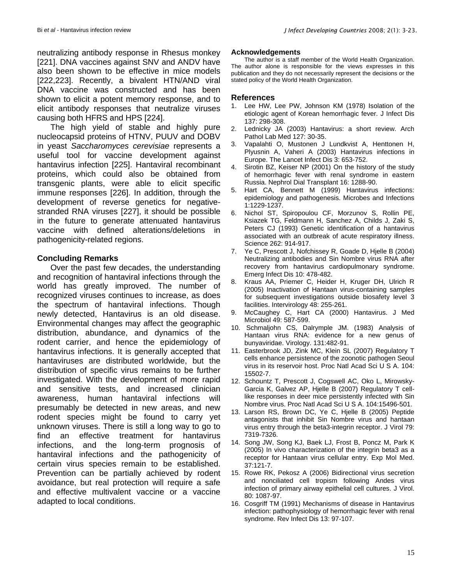neutralizing antibody response in Rhesus monkey [221]. DNA vaccines against SNV and ANDV have also been shown to be effective in mice models [222,223]. Recently, a bivalent HTN/AND viral DNA vaccine was constructed and has been shown to elicit a potent memory response, and to elicit antibody responses that neutralize viruses causing both HFRS and HPS [224].

The high yield of stable and highly pure nucleocapsid proteins of HTNV, PUUV and DOBV in yeast *Saccharomyces cerevisiae* represents a useful tool for vaccine development against hantavirus infection [225]. Hantaviral recombinant proteins, which could also be obtained from transgenic plants, were able to elicit specific immune responses [226]. In addition, through the development of reverse genetics for negativestranded RNA viruses [227], it should be possible in the future to generate attenuated hantavirus vaccine with defined alterations/deletions in pathogenicity-related regions.

### **Concluding Remarks**

Over the past few decades, the understanding and recognition of hantaviral infections through the world has greatly improved. The number of recognized viruses continues to increase, as does the spectrum of hantaviral infections. Though newly detected, Hantavirus is an old disease. Environmental changes may affect the geographic distribution, abundance, and dynamics of the rodent carrier, and hence the epidemiology of hantavirus infections. It is generally accepted that hantaviruses are distributed worldwide, but the distribution of specific virus remains to be further investigated. With the development of more rapid and sensitive tests, and increased clinician awareness, human hantaviral infections will presumably be detected in new areas, and new rodent species might be found to carry yet unknown viruses. There is still a long way to go to find an effective treatment for hantavirus infections, and the long-term prognosis of hantaviral infections and the pathogenicity of certain virus species remain to be established. Prevention can be partially achieved by rodent avoidance, but real protection will require a safe and effective multivalent vaccine or a vaccine adapted to local conditions.

#### **Acknowledgements**

The author is a staff member of the World Health Organization. The author alone is responsible for the views expresses in this publication and they do not necessarily represent the decisions or the stated policy of the World Health Organization.

#### **References**

- 1. Lee HW, Lee PW, Johnson KM (1978) Isolation of the etiologic agent of Korean hemorrhagic fever. J Infect Dis 137: 298-308.
- 2. Lednicky JA (2003) Hantavirus: a short review. Arch Pathol Lab Med 127: 30-35.
- 3. Vapalahti O, Mustonen J Lundkvist A, Henttonen H, Plyusnin A, Vaheri A (2003) Hantavirus infections in Europe. The Lancet Infect Dis 3: 653-752.
- 4. Sirotin BZ, Keiser NP (2001) On the history of the study of hemorrhagic fever with renal syndrome in eastern Russia. Nephrol Dial Transplant 16: 1288-90.
- 5. Hart CA, Bennett M (1999) Hantavirus infections: epidemiology and pathogenesis. Microbes and Infections 1:1229-1237.
- 6. Nichol ST, Spiropoulou CF, Morzunov S, Rollin PE, Ksiazek TG, Feldmann H, Sanchez A, Childs J, Zaki S, Peters CJ (1993) Genetic identification of a hantavirus associated with an outbreak of acute respiratory illness. Science 262: 914-917.
- 7. Ye C, Prescott J, Nofchissey R, Goade D, Hjelle B (2004) Neutralizing antibodies and Sin Nombre virus RNA after recovery from hantavirus cardiopulmonary syndrome. Emerg Infect Dis 10: 478-482.
- 8. Kraus AA, Priemer C, Heider H, Kruger DH, Ulrich R (2005) Inactivation of Hantaan virus-containing samples for subsequent investigations outside biosafety level 3 facilities. Intervirology 48: 255-261.
- 9. McCaughey C, Hart CA (2000) Hantavirus. J Med Microbiol 49: 587-599.
- 10. Schmaljohn CS, Dalrymple JM. (1983) Analysis of Hantaan virus RNA: evidence for a new genus of bunyaviridae. Virology. 131:482-91.
- 11. Easterbrook JD, Zink MC, Klein SL (2007) Regulatory T cells enhance persistence of the zoonotic pathogen Seoul virus in its reservoir host. Proc Natl Acad Sci U S A. 104: 15502-7.
- 12. Schountz T, Prescott J, Cogswell AC, Oko L, Mirowsky-Garcia K, Galvez AP, Hjelle B (2007) Regulatory T celllike responses in deer mice persistently infected with Sin Nombre virus. Proc Natl Acad Sci U S A. 104:15496-501.
- 13. Larson RS, Brown DC, Ye C, Hjelle B (2005) Peptide antagonists that inhibit Sin Nombre virus and hantaan virus entry through the beta3-integrin receptor. J Virol 79: 7319-7326.
- 14. Song JW, Song KJ, Baek LJ, Frost B, Poncz M, Park K (2005) In vivo characterization of the integrin beta3 as a receptor for Hantaan virus cellular entry. Exp Mol Med. 37:121-7.
- 15. Rowe RK, Pekosz A (2006) Bidirectional virus secretion and nonciliated cell tropism following Andes virus infection of primary airway epithelial cell cultures. J Virol. 80: 1087-97.
- 16. Cosgriff TM (1991) Mechanisms of disease in Hantavirus infection: pathophysiology of hemorrhagic fever with renal syndrome. Rev Infect Dis 13: 97-107.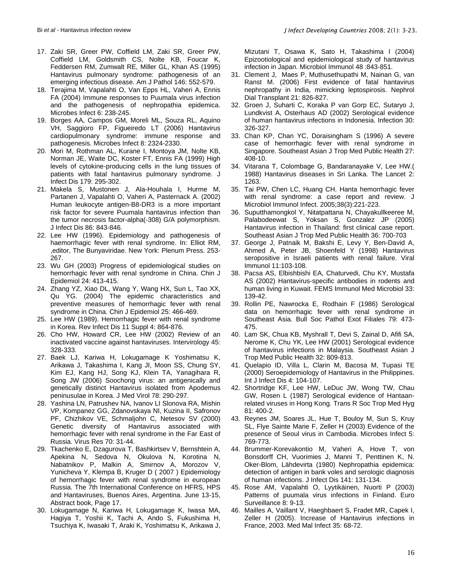- 17. Zaki SR, Greer PW, Coffield LM, Zaki SR, Greer PW, Coffield LM, Goldsmith CS, Nolte KB, Foucar K, Feddersen RM, Zumwalt RE, Miller GL, Khan AS (1995) Hantavirus pulmonary syndrome: pathogenesis of an emerging infectious disease. Am J Pathol 146: 552-579.
- 18. Terajima M, Vapalahti O, Van Epps HL, Vaheri A, Ennis FA (2004) Immune responses to Puumala virus infection and the pathogenesis of nephropathia epidemica. Microbes Infect 6: 238-245.
- 19. Borges AA, Campos GM, Moreli ML, Souza RL, Aquino VH, Saggioro FP, Figueiredo LT (2006) Hantavirus cardiopulmonary syndrome: immune response and pathogenesis. Microbes Infect 8: 2324-2330.
- 20. Mori M, Rothman AL, Kurane I, Montoya JM, Nolte KB, Norman JE, Waite DC, Koster FT, Ennis FA (1999) High levels of cytokine-producing cells in the lung tissues of patients with fatal hantavirus pulmonary syndrome. J Infect Dis 179: 295-302.
- 21. Makela S, Mustonen J, Ala-Houhala I, Hurme M, Partanen J, Vapalahti O, Vaheri A, Pasternack A. (2002) Human leukocyte antigen-B8-DR3 is a more important risk factor for severe Puumala hantavirus infection than the tumor necrosis factor-alpha(-308) G/A polymorphism. J Infect Dis 86: 843-846.
- 22. Lee HW (1996). Epidemiology and pathogenesis of haemorrhagic fever with renal syndrome. In: Elliot RM, ,editor, The Bunyaviridae. New York: Plenum Press. 253- 267.
- 23. Wu GH (2003) Progress of epidemiological studies on hemorrhagic fever with renal syndrome in China. Chin J Epidemiol 24: 413-415.
- 24. Zhang YZ, Xiao DL, Wang Y, Wang HX, Sun L, Tao XX, Qu YG. (2004) The epidemic characteristics and preventive measures of hemorrhagic fever with renal syndrome in China. Chin J Epidemiol 25: 466-469.
- 25. Lee HW (1989). Hemorrhagic fever with renal syndrome in Korea. Rev Infect Dis 11 Suppl 4: 864-876.
- 26. Cho HW, Howard CR, Lee HW (2002) Review of an inactivated vaccine against hantaviruses. Intervirology 45: 328-333.
- 27. Baek LJ, Kariwa H, Lokugamage K Yoshimatsu K, Arikawa J, Takashima I, Kang JI, Moon SS, Chung SY, Kim EJ, Kang HJ, Song KJ, Klein TA, Yanagihara R, Song JW (2006) Soochong virus: an antigenically and genetically distinct Hantavirus isolated from Apodemus peninusulae in Korea. J Med Virol 78: 290-297.
- 28. Yashina LN, Patrushev NA, Ivanov LI Slonova RA, Mishin VP, Kompanez GG, Zdanovskaya NI, Kuzina II, Safronov PF, Chizhikov VE, Schmaljohn C, Netesov SV (2000) Genetic diversity of Hantavirus associated with hemorrhagic fever with renal syndrome in the Far East of Russia. Virus Res 70: 31-44.
- 29. Tkachenko E, Dzagurova T, Bashkirtsev V, Bernshtein A, Apekina N, Sedova N, Okulova N, Korotina N, Nabatnikov P, Malkin A, Smirnov A, Morozov V, Yunicheva Y, Klempa B, Kruger D ( 2007 ) Epidemiology of hemorrhagic fever with renal syndrome in european Russia. The 7th International Conference on HFRS, HPS and Hantaviruses, Buenos Aires, Argentina. June 13-15, Abstract book, Page 17.
- 30. Lokugamage N, Kariwa H, Lokugamage K, Iwasa MA, Hagiya T, Yoshii K, Tachi A, Ando S, Fukushima H, Tsuchiya K, Iwasaki T, Araki K, Yoshimatsu K, Arikawa J,

Mizutani T, Osawa K, Sato H, Takashima I (2004) Epizootiological and epidemiological study of hantavirus infection in Japan. Microbiol Immunol 48 :843-851.

- 31. Clement J, Maes P, Muthusethupathi M, Nainan G, van Ranst M. (2006) First evidence of fatal hantavirus nephropathy in India, mimicking leptospirosis. Nephrol Dial Transplant 21: 826-827.
- 32. Groen J, Suharti C, Koraka P van Gorp EC, Sutaryo J, Lundkvist A, Osterhaus AD (2002) Serological evidence of human hantavirus infections in Indonesia. Infection 30: 326-327.
- 33. Chan KP, Chan YC, Doraisingham S (1996) A severe case of hemorrhagic fever with renal syndrome in Singapore. Southeast Asian J Trop Med Public Health 27: 408-10.
- 34. Vitarana T, Colombage G, Bandaranayake V, Lee HW.( 1988) Hantavirus diseases in Sri Lanka. The Lancet 2: 1263.
- 35. Tai PW, Chen LC, Huang CH. Hanta hemorrhagic fever with renal syndrome: a case report and review. J Microbiol Immunol Infect. 2005;38(3):221-223.
- 36. Suputthamongkol Y, Nitatpattana N, Chayakullkeeree M, Palabodeewat S, Yoksan S, Gonzalez JP (2005) Hantavirus infection in Thailand: first clinical case report. Southeast Asian J Trop Med Public Health 36: 700-703
- 37. George J, Patnaik M, Bakshi E, Levy Y, Ben-David A, Ahmed A, Peter JB, Shoenfeld Y (1998) Hantavirus seropositive in Israeli patients with renal failure. Viral Immunol 11:103-108.
- 38. Pacsa AS, Elbishbishi EA, Chaturvedi, Chu KY, Mustafa AS (2002) Hantavirus-specific antibodies in rodents and human living in Kuwait. FEMS Immunol Med Microbiol 33: 139-42.
- 39. Rollin PE, Nawrocka E, Rodhain F (1986) Serological data on hemorrhagic fever with renal syndrome in Southeast Asia. Bull Soc Pathol Exot Filiales 79: 473- 475.
- 40. Lam SK, Chua KB, Myshrall T, Devi S, Zainal D, Afifi SA, Nerome K, Chu YK, Lee HW (2001) Serological evidence of hantavirus infections in Malaysia. Southeast Asian J Trop Med Public Health 32: 809-813.
- 41. Quelapio ID, Villa L, Clarin M, Bacosa M, Tupasi TE (2000) Seroepidemiology of Hantavirus in the Philippines. Int J Infect Dis 4: 104-107.
- 42. Shortridge KF, Lee HW, LeDuc JW, Wong TW, Chau GW, Rosen L (1987) Serological evidence of Hantaanrelated viruses in Hong Kong. Trans R Soc Trop Med Hyg 81: 400-2.
- 43. Reynes JM, Soares JL, Hue T, Bouloy M, Sun S, Kruy SL, Flye Sainte Marie F, Zeller H (2003) Evidence of the presence of Seoul virus in Cambodia. Microbes Infect 5: 769-773.
- 44. Brummer-Korevakontio M, Vaheri A, Hove T, von Bonsdorff CH, Vuorimies J, Manni T, Penttinen K, N. Oker-Blom, Lähdevirta (1980) Nephropathia epidemica: detection of antigen in bank voles and serologic diagnosis of human infections. J Infect Dis 141: 131-134.
- 45. Rose AM, Vapalahti O, Lyytikäinen, Nuorti P (2003) Patterns of puumala virus infections in Finland. Euro Surveillance 8: 9-13.
- 46. Mailles A, Vaillant V, Haeghbaert S, Fradet MR, Capek I, Zeller H (2005). Increase of Hantavirus infections in France, 2003. Med Mal Infect 35: 68-72.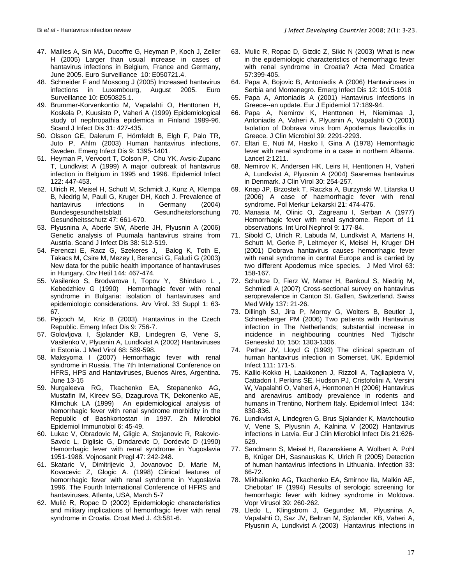- 47. Mailles A, Sin MA, Ducoffre G, Heyman P, Koch J, Zeller H (2005) Larger than usual increase in cases of hantavirus infections in Belgium, France and Germany, June 2005. Euro Surveillance 10: E050721.4.
- 48. Schneider F and Mossong J (2005) Increased hantavirus infections in Luxembourg, August 2005. Euro Surveillance 10: E050825.1.
- 49. Brummer-Korvenkontio M, Vapalahti O, Henttonen H, Koskela P, Kuusisto P, Vaheri A (1999) Epidemiological study of nephropathia epidemica in Finland 1989-96. Scand J Infect Dis 31: 427-435.
- 50. Olsson GE, Dalerum F, Hörnfeldt B, Elgh F, Palo TR, Juto P, Ahlm (2003) Human hantavirus infections, Sweden. Emerg Infect Dis 9: 1395-1401.
- 51. Heyman P, Vervoort T, Colson P, Chu YK, Avsic-Zupanc T, Lundkvist A (1999) A major outbreak of hantavirus infection in Belgium in 1995 and 1996. Epidemiol Infect 122: 447-453.
- 52. Ulrich R, Meisel H, Schutt M, Schmidt J, Kunz A, Klempa B, Niedrig M, Pauli G, Kruger DH, Koch J. Prevalence of hantavirus infections in Germany (2004) Bundesgesundheitsblatt Gesundheitsforschung Gesundheitsschutz 47: 661-670.
- 53. Plyusnina A, Aberle SW, Aberle JH, Plyusnin A (2006) Genetic analysis of Puumala hantavirus strains from Austria. Scand J Infect Dis 38: 512-519.
- 54. Ferenczi E, Racz G, Szekeres J, Balog K, Toth E, Takacs M, Csire M, Mezey I, Berencsi G, Faludi G (2003) New data for the public health importance of hantaviruses in Hungary. Orv Hetil 144: 467-474.
- 55. Vasilenko S, Brodvarova I, Topov Y, Shindaro L , Kebedzhiev G (1990) Hemorrhagic fever with renal syndrome in Bulgaria: isolation of hantaviruses and epidemiologic considerations. Arv Virol. 33 Suppl 1: 63- 67.
- 56. Pejcoch M, Kriz B (2003). Hantavirus in the Czech Republic. Emerg Infect Dis 9: 756-7.
- 57. Golovljova I, Sjolander KB, Lindegren G, Vene S, Vasilenko V, Plyusnin A, Lundkvist A (2002) Hantaviruses in Estonia. J Med Virol 68: 589-598.
- 58. Maksyoma I (2007) Hemorrhagic fever with renal syndrome in Russia. The 7th International Conference on HFRS, HPS and Hantaviruses, Buenos Aires, Argentina. June 13-15
- 59. Nurgaleeva RG, Tkachenko EA, Stepanenko AG, Mustafin IM, Kireev SG, Dzagurova TK, Dekonenko AE, Klimchuk LA (1999) An epidemiological analysis of hemorrhagic fever with renal syndrome morbidity in the Republic of Bashkortostan in 1997. Zh Mikrobiol Epidemiol Immunobiol 6: 45-49.
- 60. Lukac V, Obradovic M, Gligic A, Stojanovic R, Rakovic-Savcic L, Diglisic G, Drndarevic D, Dordevic D (1990) Hemorrhagic fever with renal syndrome in Yugoslavia 1951-1988. Vojnosanit Pregl 47: 242-248.
- 61. Skataric V, Dimitrijevic J, Jovanovoc D, Marie M, Kovacevic Z, Glogic A. (1998) Clinical features of hemorrhagic fever with renal syndrome in Yugoslavia 1996. The Fourth International Conference of HFRS and hantaviruses, Atlanta, USA, March 5-7
- 62. Mulić R, Ropac D (2002) Epidemiologic characteristics and military implications of hemorrhagic fever with renal syndrome in Croatia. Croat Med J. 43:581-6.
- 63. Mulic R, Ropac D, Gizdic Z, Sikic N (2003) What is new in the epidemiologic characteristics of hemorrhagic fever with renal syndrome in Croatia? Acta Med Croatica 57:399-405.
- 64. Papa A, Bojovic B, Antoniadis A (2006) Hantaviruses in Serbia and Montenegro. Emerg Infect Dis 12: 1015-1018
- 65. Papa A, Antoniadis A (2001) Hantavirus infections in Greece--an update. Eur J Epidemiol 17:189-94.
- 66. Papa A, Nemirov K, Henttonen H, Niemimaa J, Antoniadis A, Vaheri A, Plyusnin A, Vapalahti O (2001) Isolation of Dobrava virus from Apodemus flavicollis in Greece. J Clin Microbiol 39: 2291-2293.
- 67. Eltari E, Nuti M, Hasko I, Gina A (1978) Hemorrhagic fever with renal syndrome in a case in northern Albania. Lancet 2:1211.
- 68. Nemirov K, Andersen HK, Leirs H, Henttonen H, Vaheri A, Lundkvist A, Plyusnin A (2004) Saaremaa hantavirus in Denmark. J Clin Virol 30: 254-257.
- 69. Knap JP, Brzostek T, Raczka A, Burzynski W, Litarska U (2006) A case of haemorrhagic fever with renal syndrome. Pol Merkur Lekarski 21: 474-476.
- 70. Manasia M, Olinic O, Zagreanu I, Serban A (1977) Hemorrhagic fever with renal syndrome. Report of 11 observations. Int Urol Nephrol 9: 177-84.
- 71. Sibold C, Ulrich R, Labuda M, Lundkvist A, Martens H, Schutt M, Gerke P, Leitmeyer K, Meisel H, Kruger DH (2001) Dobrava hantavirus causes hemorrhagic fever with renal syndrome in central Europe and is carried by two different Apodemus mice species. J Med Virol 63: 158-167.
- 72. Schultze D, Fierz W, Matter H, Bankoul S, Niedrig M, Schmiedl A (2007) Cross-sectional survey on hantavirus seroprevalence in Canton St. Gallen, Switzerland. Swiss Med Wkly 137: 21-26.
- 73. Dillingh SJ, Jira P, Morroy G, Wolters B, Beutler J, Schneeberger PM (2006) Two patients with Hantavirus infection in The Netherlands; substantial increase in incidence in neighbouring countries Ned Tijdschr Geneeskd 10; 150: 1303-1306.
- 74. Pether JV, Lloyd G (1993) The clinical spectrum of human hantavirus infection in Somerset, UK. Epidemiol Infect 111: 171-5.
- 75. Kallio-Kokko H, Laakkonen J, Rizzoli A, Tagliapietra V, Cattadori I, Perkins SE, Hudson PJ, Cristofolini A, Versini W, Vapalahti O, Vaheri A, Henttonen H (2006) Hantavirus and arenavirus antibody prevalence in rodents and humans in Trentino, Northern Italy. Epidemiol Infect 134: 830-836.
- 76. Lundkvist A, Lindegren G, Brus Sjolander K, Mavtchoutko V, Vene S, Plyusnin A, Kalnina V (2002) Hantavirus infections in Latvia. Eur J Clin Microbiol Infect Dis 21:626- 629.
- 77. Sandmann S, Meisel H, Razanskiene A, Wolbert A, Pohl B, Krüger DH, Sasnauskas K, Ulrich R (2005) Detection of human hantavirus infections in Lithuania. Infection 33: 66-72.
- 78. Mikhailenko AG, Tkachenko EA, Smirnov IIa, Malkin AE, Chebotar' IF (1994) Results of serologic screening for hemorrhagic fever with kidney syndrome in Moldova. Vopr Virusol 39: 260-262.
- 79. Lledo L, Klingstrom J, Gegundez MI, Plyusnina A, Vapalahti O, Saz JV, Beltran M, Sjolander KB, Vaheri A, Plyusnin A, Lundkvist A (2003) Hantavirus infections in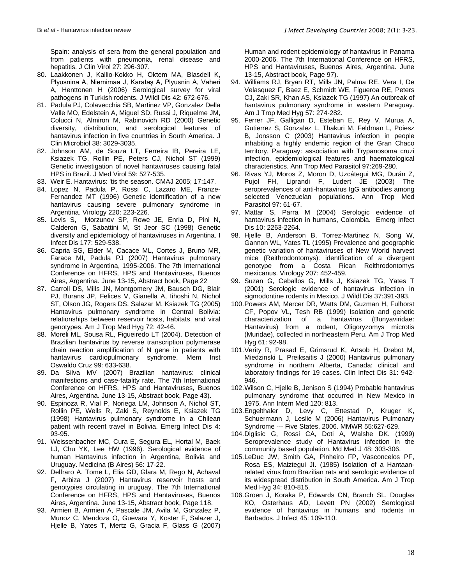Spain: analysis of sera from the general population and from patients with pneumonia, renal disease and hepatitis. J Clin Virol 27: 296-307.

- 80. Laakkonen J, Kallio-Kokko H, Oktem MA, Blasdell K, Plyusnina A, Niemimaa J, Karataş A, Plyusnin A, Vaheri A, Henttonen H (2006) Serological survey for viral pathogens in Turkish rodents. J Wildl Dis 42: 672-676.
- 81. Padula PJ, Colavecchia SB, Martinez VP, Gonzalez Della Valle MO, Edelstein A, Miguel SD, Russi J, Riquelme JM, Colucci N, Almiron M, Rabinovich RD (2000) Genetic diversity, distribution, and serological features of hantavirus infection in five countries in South America. J Clin Microbiol 38: 3029-3035.
- 82. Johnson AM, de Souza LT, Ferreira IB, Pereira LE, Ksiazek TG, Rollin PE, Peters CJ, Nichol ST (1999) Genetic investigation of novel hantaviruses causing fatal HPS in Brazil. J Med Virol 59: 527-535.
- 83. Weir E. Hantavirus: 'tis the season. CMAJ 2005: 17:147.
- 84. Lopez N, Padula P, Rossi C, Lazaro ME, Franze-Fernandez MT (1996) Genetic identification of a new hantavirus causing severe pulmonary syndrome in Argentina. Virology 220: 223-226.
- 85. Levis S, Morzunov SP, Rowe JE, Enria D, Pini N, Calderon G, Sabattini M, St Jeor SC (1998) Genetic diversity and epidemiology of hantaviruses in Argentina. I Infect Dis 177: 529-538.
- 86. Capria SG, Elder M, Cacace ML, Cortes J, Bruno MR, Farace MI, Padula PJ (2007) Hantavirus pulmonary syndrome in Argentina, 1995-2006. The 7th International Conference on HFRS, HPS and Hantaviruses, Buenos Aires, Argentina. June 13-15, Abstract book, Page 22
- 87. Carroll DS, Mills JN, Montgomery JM, Bausch DG, Blair PJ, Burans JP, Felices V, Gianella A, Iihoshi N, Nichol ST, Olson JG, Rogers DS, Salazar M, Ksiazek TG (2005) Hantavirus pulmonary syndrome in Central Bolivia: relationships between reservoir hosts, habitats, and viral genotypes. Am J Trop Med Hyg 72: 42-46.
- 88. Moreli ML, Sousa RL, Figueiredo LT (2004). Detection of Brazilian hantavirus by reverse transcription polymerase chain reaction amplification of N gene in patients with hantavirus cardiopulmonary syndrome. Mem Inst Oswaldo Cruz 99: 633-638.
- 89. Da Silva MV (2007) Brazilian hantavirus: clinical manifestions and case-fatality rate. The 7th International Conference on HFRS, HPS and Hantaviruses, Buenos Aires, Argentina. June 13-15, Abstract book, Page 43).
- 90. Espinoza R, Vial P, Noriega LM, Johnson A, Nichol ST, Rollin PE, Wells R, Zaki S, Reynolds E, Ksiazek TG (1998) Hantavirus pulmonary syndrome in a Chilean patient with recent travel in Bolivia. Emerg Infect Dis 4: 93-95.
- 91. Weissenbacher MC, Cura E, Segura EL, Hortal M, Baek LJ, Chu YK, Lee HW (1996). Serological evidence of human Hantavirus infection in Argentina, Bolivia and Uruguay. Medicina (B Aires) 56: 17-22.
- 92. Delfraro A, Tome L, Elia GD, Glara M, Rego N, Achaval F, Arbiza J (2007) Hantavirus reservoir hosts and genotypies circulating in uruguay. The 7th International Conference on HFRS, HPS and Hantaviruses, Buenos Aires, Argentina. June 13-15, Abstract book, Page 118.
- 93. Armien B, Armien A, Pascale JM, Avila M, Gonzalez P, Munoz C, Mendoza O, Guevara Y, Koster F, Salazer J, Hjelle B, Yates T, Mertz G, Gracia F, Glass G (2007)

Human and rodent epidemiology of hantavirus in Panama 2000-2006. The 7th International Conference on HFRS, HPS and Hantaviruses, Buenos Aires, Argentina. June 13-15, Abstract book, Page 97).

- 94. Williams RJ, Bryan RT, Mills JN, Palma RE, Vera I, De Velasquez F, Baez E, Schmidt WE, Figueroa RE, Peters CJ, Zaki SR, Khan AS, Ksiazek TG (1997) An outbreak of hantavirus pulmonary syndrome in western Paraguay. Am J Trop Med Hyg 57: 274-282.
- 95. Ferrer JF, Galligan D, Esteban E, Rey V, Murua A, Gutierrez S, Gonzalez L, Thakuri M, Feldman L, Poiesz B, Jonsson C (2003) Hantavirus infection in people inhabiting a highly endemic region of the Gran Chaco territory, Paraguay: association with Trypanosoma cruzi infection, epidemiological features and haematological characteristics. Ann Trop Med Parasitol 97:269-280.
- 96. Rivas YJ, Moros Z, Moron D, Uzcátegui MG, Durán Z, Pujol FH, Liprandi F, Ludert JE (2003) The seroprevalences of anti-hantavirus IgG antibodies among selected Venezuelan populations. Ann Trop Med Parasitol 97: 61-67.
- 97. Mattar S, Parra M (2004) Serologic evidence of hantavirus infection in humans, Colombia. Emerg Infect Dis 10: 2263-2264.
- 98. Hjelle B, Anderson B, Torrez-Martinez N, Song W, Gannon WL, Yates TL (1995) Prevalence and geographic genetic variation of hantaviruses of New World harvest mice (Reithrodontomys): identification of a divergent genotype from a Costa Rican Reithrodontomys mexicanus. Virology 207: 452-459.
- 99. Suzan G, Ceballos G, Mills J, Ksiazek TG, Yates T (2001) Serologic evidence of hantavirus infection in sigmodontine rodents in Mexico. J Wildl Dis 37:391-393.
- 100.Powers AM, Mercer DR, Watts DM, Guzman H, Fulhorst CF, Popov VL, Tesh RB (1999) Isolation and genetic characterization of a hantavirus (Bunyaviridae: Hantavirus) from a rodent, Oligoryzomys microtis (Muridae), collected in northeastern Peru. Am J Trop Med Hyg 61: 92-98.
- 101.Verity R, Prasad E, Grimsrud K, Artsob H, Drebot M, Miedzinski L, Preiksaitis J (2000) Hantavirus pulmonary syndrome in northern Alberta, Canada: clinical and laboratory findings for 19 cases. Clin Infect Dis 31: 942- 946.
- 102.Wilson C, Hjelle B, Jenison S (1994) Probable hantavirus pulmonary syndrome that occurred in New Mexico in 1975. Ann Intern Med 120: 813.
- 103.Engelthaler D, Levy C, Ettestad P, Kruger K, Schuermann J, Leslie M (2006) Hantavirus Pulmonary Syndrome --- Five States, 2006. MMWR 55:627-629.
- 104.Diglisic G, Rossi CA, Doti A, Walshe DK. (1999) Seroprevalence study of Hantavirus infection in the community based population. Md Med J 48: 303-306.
- 105.LeDuc JW, Smith GA, Pinheiro FP, Vasconcelos PF, Rosa ES, Maiztegui JI. (1985) Isolation of a Hantaanrelated virus from Brazilian rats and serologic evidence of its widespread distribution in South America. Am J Trop Med Hyg 34: 810-815.
- 106.Groen J, Koraka P, Edwards CN, Branch SL, Douglas KO, Osterhaus AD, Levett PN (2002) Serological evidence of hantavirus in humans and rodents in Barbados. J Infect 45: 109-110.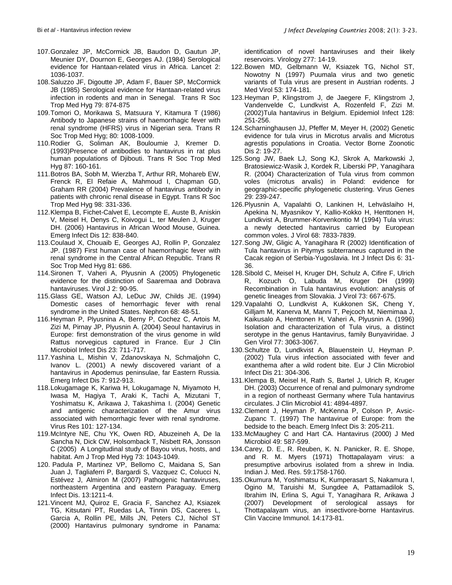- 107.Gonzalez JP, McCormick JB, Baudon D, Gautun JP, Meunier DY, Dournon E, Georges AJ. (1984) Serological evidence for Hantaan-related virus in Africa. Lancet 2: 1036-1037.
- 108.Saluzzo JF, Digoutte JP, Adam F, Bauer SP, McCormick JB (1985) Serological evidence for Hantaan-related virus infection in rodents and man in Senegal. Trans R Soc Trop Med Hyg 79: 874-875
- 109.Tomori O, Morikawa S, Matsuura Y, Kitamura T (1986) Antibody to Japanese strains of haemorrhagic fever with renal syndrome (HFRS) virus in Nigerian sera. Trans R Soc Trop Med Hyg; 80: 1008-1009.
- 110.Rodier G, Soliman AK, Bouloumie J, Kremer D. (1993)Presence of antibodies to hantavirus in rat plus human populations of Djibouti. Trans R Soc Trop Med Hyg 87: 160-161.
- 111.Botros BA, Sobh M, Wierzba T, Arthur RR, Mohareb EW, Frenck R, El Refaie A, Mahmoud I, Chapman GD, Graham RR (2004) Prevalence of hantavirus antibody in patients with chronic renal disease in Egypt. Trans R Soc Trop Med Hyg 98: 331-336.
- 112.Klempa B, Fichet-Calvet E, Lecompte E, Auste B, Aniskin V, Meisel H, Denys C, Koivogui L, ter Meulen J, Kruger DH. (2006) Hantavirus in African Wood Mouse, Guinea. Emerg Infect Dis 12: 838-840.
- 113.Coulaud X, Chouaib E, Georges AJ, Rollin P, Gonzalez JP. (1987) First human case of haemorrhagic fever with renal syndrome in the Central African Republic. Trans R Soc Trop Med Hyg 81: 686.
- 114.Sironen T, Vaheri A, Plyusnin A (2005) Phylogenetic evidence for the distinction of Saaremaa and Dobrava hantaviruses. Virol J 2: 90-95.
- 115.Glass GE, Watson AJ, LeDuc JW, Childs JE. (1994) Domestic cases of hemorrhagic fever with renal syndrome in the United States. Nephron 68: 48-51.
- 116.Heyman P, Plyusnina A, Berny P, Cochez C, Artois M, Zizi M, Pirnay JP, Plyusnin A. (2004) Seoul hantavirus in Europe: first demonstration of the virus genome in wild Rattus norvegicus captured in France. Eur J Clin Microbiol Infect Dis 23: 711-717.
- 117.Yashina L, Mishin V, Zdanovskaya N, Schmaljohn C, Ivanov L. (2001) A newly discovered variant of a hantavirus in Apodemus peninsulae, far Eastern Russia. Emerg Infect Dis 7: 912-913.
- 118.Lokugamage K, Kariwa H, Lokugamage N, Miyamoto H, Iwasa M, Hagiya T, Araki K, Tachi A, Mizutani T, Yoshimatsu K, Arikawa J, Takashima I. (2004) Genetic and antigenic characterization of the Amur virus associated with hemorrhagic fever with renal syndrome. Virus Res 101: 127-134.
- 119.McIntyre NE, Chu YK, Owen RD, Abuzeineh A, De la Sancha N, Dick CW, Holsomback T, Nisbett RA, Jonsson C (2005) A Longitudinal study of Bayou virus, hosts, and habitat. Am J Trop Med Hyg 73: 1043-1049.
- 120. Padula P, Martinez VP, Bellomo C, Maidana S, San Juan J, Tagliaferri P, Bargardi S, Vazquez C, Colucci N, Estévez J, Almiron M (2007) Pathogenic hantaviruses, northeastern Argentina and eastern Paraguay. Emerg Infect Dis. 13:1211-4.
- 121.Vincent MJ, Quiroz E, Gracia F, Sanchez AJ, Ksiazek TG, Kitsutani PT, Ruedas LA, Tinnin DS, Caceres L, Garcia A, Rollin PE, Mills JN, Peters CJ, Nichol ST (2000) Hantavirus pulmonary syndrome in Panama:

identification of novel hantaviruses and their likely reservoirs. Virology 277: 14-19.

- 122.Bowen MD, Gelbmann W, Ksiazek TG, Nichol ST, Nowotny N (1997) Puumala virus and two genetic variants of Tula virus are present in Austrian rodents. J Med Virol 53: 174-181.
- 123.Heyman P, Klingstrom J, de Jaegere F, Klingstrom J, Vandenvelde C, Lundkvist A, Rozenfeld F, Zizi M. (2002)Tula hantavirus in Belgium. Epidemiol Infect 128: 251-256.
- 124.Scharninghausen JJ, Pfeffer M, Meyer H, (2002) Genetic evidence for tula virus in Microtus arvalis and Microtus agrestis populations in Croatia. Vector Borne Zoonotic Dis 2: 19-27.
- 125.Song JW, Baek LJ, Song KJ, Skrok A, Markowski J, Bratosiewicz-Wasik J, Kordek R, Liberski PP, Yanagihara R. (2004) Characterization of Tula virus from common voles (microtus arvalis) in Poland: evidence for geographic-specific phylogenetic clustering. Virus Genes 29: 239-247.
- 126.Plyusnin A, Vapalahti O, Lankinen H, Lehväslaiho H, Apekina N, Myasnikov Y, Kallio-Kokko H, Henttonen H, Lundkvist A, Brummer-Korvenkontio M (1994) Tula virus: a newly detected hantavirus carried by European common voles. J Virol 68: 7833-7839.
- 127.Song JW, Gligic A, Yanagihara R (2002) Identification of Tula hantavirus in Pitymys subterraneus captured in the Cacak region of Serbia-Yugoslavia. Int J Infect Dis 6: 31- 36.
- 128.Sibold C, Meisel H, Kruger DH, Schulz A, Cifire F, Ulrich R, Kozuch O, Labuda M, Kruger DH (1999) Recombination in Tula hantavirus evolution: analysis of genetic lineages from Slovakia. J Virol 73: 667-675.
- 129.Vapalahti O, Lundkvist A, Kukkonen SK, Cheng Y, Gilljam M, Kanerva M, Manni T, Pejcoch M, Niemimaa J, Kaikusalo A, Henttonen H, Vaheri A, Plyusnin A. (1996) Isolation and characterization of Tula virus, a distinct serotype in the genus Hantavirus, family Bunyaviridae. J Gen Virol 77: 3063-3067.
- 130.Schultze D, Lundkvist A, Blauenstein U, Heyman P. (2002) Tula virus infection associated with fever and exanthema after a wild rodent bite. Eur J Clin Microbiol Infect Dis 21: 304-306.
- 131.Klempa B, Meisel H, Rath S, Bartel J, Ulrich R, Kruger DH. (2003) Occurrence of renal and pulmonary syndrome in a region of northeast Germany where Tula hantavirus circulates. J Clin Microbiol 41: 4894-4897.
- 132.Clement J, Heyman P, McKenna P, Colson P, Avsic-Zupanc T. (1997) The hantavirue of Europe: from the bedside to the beach. Emerg Infect Dis 3: 205-211.
- 133.McMaughey C and Hart CA. Hantavirus (2000) J Med Microbiol 49: 587-599.
- 134.Carey, D. E., R. Reuben, K. N. Panicker, R. E. Shope, and R. M. Myers (1971) Thottapalayam virus: a presumptive arbovirus isolated from a shrew in India. Indian J. Med. Res. 59:1758-1760.
- 135.Okumura M, Yoshimatsu K, Kumperasart S, Nakamura I, Ogino M, Taruishi M, Sungdee A, Pattamadilok S, Ibrahim IN, Erlina S, Agui T, Yanagihara R, Arikawa J (2007) Development of serological assays for Thottapalayam virus, an insectivore-borne Hantavirus. Clin Vaccine Immunol. 14:173-81.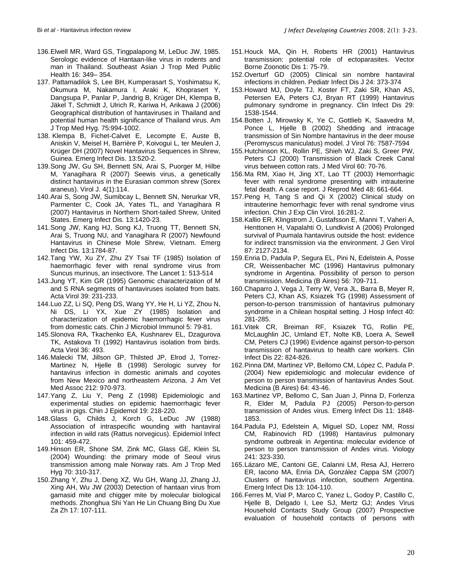- 136.Elwell MR, Ward GS, Tingpalapong M, LeDuc JW, 1985. Serologic evidence of Hantaan-like virus in rodents and man in Thailand. Southeast Asian J Trop Med Public Health 16: 349– 354.
- 137. Pattamadilok S, Lee BH, Kumperasart S, Yoshimatsu K, Okumura M, Nakamura I, Araki K, Khoprasert Y, Dangsupa P, Panlar P, Jandrig B, Krüger DH, Klempa B, Jäkel T, Schmidt J, Ulrich R, Kariwa H, Arikawa J (2006) Geographical distribution of hantaviruses in Thailand and potential human health significance of Thailand virus. Am J Trop Med Hyg. 75:994-1002.
- 138. Klempa B, Fichet-Calvet E, Lecompte E, Auste B, Aniskin V, Meisel H, Barrière P, Koivogui L, ter Meulen J, Krüger DH (2007) Novel Hantavirus Sequences in Shrew, Guinea. Emerg Infect Dis. 13:520-2.
- 139.Song JW, Gu SH, Bennett SN, Arai S, Puorger M, Hilbe M, Yanagihara R (2007) Seewis virus, a genetically distinct hantavirus in the Eurasian common shrew (Sorex araneus). Virol J. 4(1):114.
- 140.Arai S, Song JW, Sumibcay L, Bennett SN, Nerurkar VR, Parmenter C, Cook JA, Yates TL, and Yanagihara R (2007) Hantavirus in Northern Short-tailed Shrew, United States. Emerg Infect Dis. 13:1420-23.
- 141.Song JW, Kang HJ, Song KJ, Truong TT, Bennett SN, Arai S, Truong NU, and Yanagihara R (2007) Newfound Hantavirus in Chinese Mole Shrew, Vietnam. Emerg Infect Dis. 13:1784-87.
- 142.Tang YW, Xu ZY, Zhu ZY Tsai TF (1985) Isolation of haemorrhagic fever with renal syndrome virus from Suncus murinus, an insectivore. The Lancet 1: 513-514
- 143.Jung YT, Kim GR (1995) Genomic characterization of M and S RNA segments of hantaviruses isolated from bats. Acta Virol 39: 231-233.
- 144.Luo ZZ, Li SQ, Peng DS, Wang YY, He H, Li YZ, Zhou N, Ni DS, Li YX, Xue ZY (1985) Isolation and characterization of epidemic haemorrhagic fever virus from domestic cats. Chin J Microbiol Immunol 5: 79-81.
- 145.Slonova RA, Tkachenko EA, Kushnarev EL, Dzagurova TK, Astakova TI (1992) Hantavirus isolation from birds. Acta Virol 36: 493.
- 146.Malecki TM, Jillson GP, Thilsted JP, Elrod J, Torrez-Martinez N, Hjelle B (1998) Serologic survey for hantavirus infection in domestic animals and coyotes from New Mexico and northeastern Arizona. J Am Vet Med Assoc 212: 970-973.
- 147.Yang Z, Liu Y, Peng Z (1998) Epidemiologic and experimental studies on epidemic haemorrhagic fever virus in pigs. Chin J Epidemol 19: 218-220.
- 148.Glass G, Childs J, Korch G, LeDuc JW (1988) Association of intraspecific wounding with hantaviral infection in wild rats (Rattus norvegicus). Epidemiol Infect 101: 459-472.
- 149.Hinson ER, Shone SM, Zink MC, Glass GE, Klein SL (2004) Wounding: the primary mode of Seoul virus transmission among male Norway rats. Am J Trop Med Hyg 70: 310-317.
- 150.Zhang Y, Zhu J, Deng XZ, Wu GH, Wang JJ, Zhang JJ, Xing AH, Wu JW (2003) Detection of hantaan virus from gamasid mite and chigger mite by molecular biological methods. Zhonghua Shi Yan He Lin Chuang Bing Du Xue Za Zh 17: 107-111.
- 151.Houck MA, Qin H, Roberts HR (2001) Hantavirus transmission: potential role of ectoparasites. Vector Borne Zoonotic Dis 1: 75-79.
- 152.Overturf GD (2005) Clinical sin nombre hantaviral infections in children. Pediatr Infect Dis J 24: 373-374
- 153.Howard MJ, Doyle TJ, Koster FT, Zaki SR, Khan AS, Petersen EA, Peters CJ, Bryan RT (1999) Hantavirus pulmonary syndrome in pregnancy. Clin Infect Dis 29: 1538-1544.
- 154.Botten J, Mirowsky K, Ye C, Gottlieb K, Saavedra M, Ponce L, Hjelle B (2002) Shedding and intracage transmission of Sin Nombre hantavirus in the deer mouse (Peromyscus maniculatus) model. J Virol 76: 7587-7594
- 155.Hutchinson KL, Rollin PE, Shieh WJ, Zaki S, Greer PW, Peters CJ (2000) Transmission of Black Creek Canal virus between cotton rats. J Med Virol 60: 70-76.
- 156.Ma RM, Xiao H, Jing XT, Lao TT (2003) Hemorrhagic fever with renal syndrome presenting with intrauterine fetal death. A case report. J Reprod Med 48: 661-664.
- 157.Peng H, Tang S and Qi X (2002) Clinical study on intrauterine hemorrhagic fever with renal syndrome virus infection. Chin J Exp Clin Virol. 16:281-2.
- 158.Kallio ER, Klingstrom J, Gustafsson E, Manni T, Vaheri A, Henttonen H, Vapalahti O, Lundkvist A (2006) Prolonged survival of Puumala hantavirus outside the host: evidence for indirect transmission via the environment. J Gen Virol 87: 2127-2134.
- 159.Enria D, Padula P, Segura EL, Pini N, Edelstein A, Posse CR, Weissenbacher MC (1996) Hantavirus pulmonary syndrome in Argentina. Possibility of person to person transmission. Medicina (B Aires) 56: 709-711.
- 160.Chaparro J, Vega J, Terry W, Vera JL, Barra B, Meyer R, Peters CJ, Khan AS, Ksiazek TG (1998) Assessment of person-to-person transmission of hantavirus pulmonary syndrome in a Chilean hospital setting. J Hosp Infect 40: 281-285.
- 161.Vitek CR, Breiman RF, Ksiazek TG, Rollin PE, McLaughlin JC, Umland ET, Nolte KB, Loera A, Sewell CM, Peters CJ (1996) Evidence against person-to-person transmission of hantavirus to health care workers. Clin Infect Dis 22: 824-826.
- 162.Pinna DM, Martinez VP, Bellomo CM, López C, Padula P. (2004) New epidemiologic and molecular evidence of person to person transmission of hantavirus Andes Sout. Medicina (B Aires) 64: 43-46.
- 163.Martinez VP, Bellomo C, San Juan J, Pinna D, Forlenza R, Elder M, Padula PJ (2005) Person-to-person transmission of Andes virus. Emerg Infect Dis 11: 1848- 1853.
- 164.Padula PJ, Edelstein A, Miguel SD, Lopez NM, Rossi CM, Rabinovich RD (1998) Hantavirus pulmonary syndrome outbreak in Argentina: molecular evidence of person to person transmission of Andes virus. Viology 241: 323-330.
- 165.Lázaro ME, Cantoni GE, Calanni LM, Resa AJ, Herrero ER, Iacono MA, Enria DA, González Cappa SM (2007) Clusters of hantavirus infection, southern Argentina. Emerg Infect Dis 13: 104-110.
- 166.Ferres M, Vial P, Marco C, Yanez L, Godoy P, Castillo C, Hjelle B, Delgado I, Lee SJ, Mertz GJ; Andes Virus Household Contacts Study Group (2007) Prospective evaluation of household contacts of persons with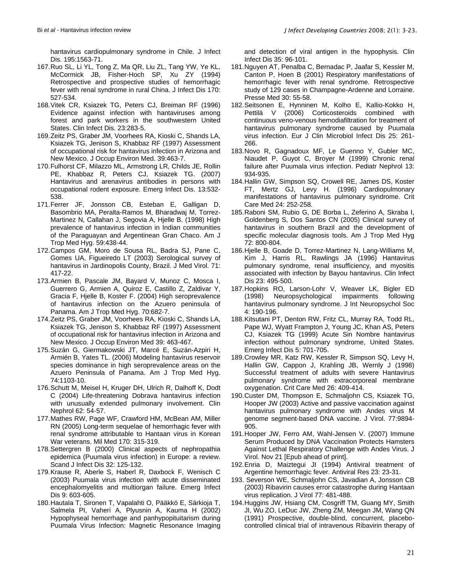hantavirus cardiopulmonary syndrome in Chile. J Infect Dis. 195:1563-71.

- 167.Ruo SL, Li YL, Tong Z, Ma QR, Liu ZL, Tang YW, Ye KL, McCormick JB, Fisher-Hoch SP, Xu ZY (1994) Retrospective and prospective studies of hemorrhagic fever with renal syndrome in rural China. J Infect Dis 170: 527-534.
- 168.Vitek CR, Ksiazek TG, Peters CJ, Breiman RF (1996) Evidence against infection with hantaviruses among forest and park workers in the southwestern United States. Clin Infect Dis. 23:283-5.
- 169.Zeitz PS, Graber JM, Voorhees RA, Kioski C, Shands LA, Ksiazek TG, Jenison S, Khabbaz RF (1997) Assessment of occupational risk for hantavirus infection in Arizona and New Mexico. J Occup Environ Med. 39:463-7.
- 170.Fulhorst CF, Milazzo ML, Armstrong LR, Childs JE, Rollin PE, Khabbaz R, Peters CJ, Ksiazek TG. (2007) Hantavirus and arenavirus antibodies in persons with occupational rodent exposure. Emerg Infect Dis. 13:532- 538.
- 171.Ferrer JF, Jonsson CB, Esteban E, Galligan D, Basombrio MA, Peralta-Ramos M, Bharadwaj M, Torrez-Martinez N, Callahan J, Segovia A, Hjelle B. (1998) High prevalence of hantavirus infection in Indian communities of the Paraguayan and Argentinean Gran Chaco. Am J Trop Med Hyg. 59:438-44.
- 172.Campos GM, Moro de Sousa RL, Badra SJ, Pane C, Gomes UA, Figueiredo LT (2003) Serological survey of hantavirus in Jardinopolis County, Brazil. J Med Virol. 71: 417-22.
- 173.Armien B, Pascale JM, Bayard V, Munoz C, Mosca I, Guerrero G, Armien A, Quiroz E, Castillo Z, Zaldivar Y, Gracia F, Hjelle B, Koster F. (2004) High seroprevalence of hantavirus infection on the Azuero peninsula of Panama. Am J Trop Med Hyg. 70:682-7.
- 174.Zeitz PS, Graber JM, Voorhees RA, Kioski C, Shands LA, Ksiazek TG, Jenison S, Khabbaz RF (1997) Assessment of occupational risk for hantavirus infection in Arizona and New Mexico. J Occup Environ Med 39: 463-467.
- 175.Suzán G, Giermakowski JT, Marcé E, Suzán-Azpiri H, Armién B, Yates TL. (2006) Modeling hantavirus reservoir species dominance in high seroprevalence areas on the Azuero Peninsula of Panama. Am J Trop Med Hyg. 74:1103-10.
- 176.Schutt M, Meisel H, Kruger DH, Ulrich R, Dalhoff K, Dodt C (2004) Life-threatening Dobrava hantavirus infection with unusually extended pulmonary involvement. Clin Nephrol 62: 54-57.
- 177.Mathes RW, Page WF, Crawford HM, McBean AM, Miller RN (2005) Long-term sequelae of hemorrhagic fever with renal syndrome attributable to Hantaan virus in Korean War veterans. Mil Med 170: 315-319.
- 178.Settergren B (2000) Clinical aspects of nephropathia epidemica (Puumala virus infection) in Europe: a review. Scand J Infect Dis 32: 125-132.
- 179.Krause R, Aberle S, Haberl R, Daxbock F, Wenisch C (2003) Puumala virus infection with acute disseminated encephalomyelitis and multiorgan failure. Emerg Infect Dis 9: 603-605.
- 180.Hautala T, Sironen T, Vapalahti O, Pääkkö E, Särkioja T, Salmela PI, Vaheri A, Plyusnin A, Kauma H (2002) Hypophyseal hemorrhage and panhypopituitarism during Puumala Virus Infection: Magnetic Resonance Imaging

and detection of viral antigen in the hypophysis. Clin Infect Dis 35: 96-101.

- 181.Nguyen AT, Penalba C, Bernadac P, Jaafar S, Kessler M, Canton P, Hoen B (2001) Respiratory manifestations of hemorrhagic fever with renal syndrome. Retrospective study of 129 cases in Champagne-Ardenne and Lorraine. Presse Med 30: 55-58.
- 182.Seitsonen E, Hynninen M, Kolho E, Kallio-Kokko H, Pettilä V (2006) Corticosteroids combined with continuous veno-venous hemodiafiltration for treatment of hantavirus pulmonary syndrome caused by Puumala virus infection. Eur J Clin Microbiol Infect Dis 25: 261- 266.
- 183.Novo R, Gagnadoux MF, Le Guenno Y, Gubler MC, Niaudet P, Guyot C, Broyer M (1999) Chronic renal failure after Puumala virus infection. Pediatr Nephrol 13: 934-935.
- 184.Hallin GW, Simpson SQ, Crowell RE, James DS, Koster FT, Mertz GJ, Levy H. (1996) Cardiopulmonary manifestations of hantavirus pulmonary syndrome. Crit Care Med 24: 252-258.
- 185.Raboni SM, Rubio G, DE Borba L, Zeferino A, Skraba I, Goldenberg S, Dos Santos CN (2005) Clinical survey of hantavirus in southern Brazil and the development of specific molecular diagnosis tools. Am J Trop Med Hyg 72: 800-804.
- 186.Hjelle B, Goade D, Torrez-Martinez N, Lang-Williams M, Kim J, Harris RL, Rawlings JA (1996) Hantavirus pulmonary syndrome, renal insufficiency, and myositis associated with infection by Bayou hantavirus. Clin Infect Dis 23: 495-500.
- 187.Hopkins RO, Larson-Lohr V, Weaver LK, Bigler ED (1998) Neuropsychological impairments following hantavirus pulmonary syndrome. J Int Neuropsychol Soc 4: 190-196.
- 188.Kitsutani PT, Denton RW, Fritz CL, Murray RA, Todd RL, Pape WJ, Wyatt Frampton J, Young JC, Khan AS, Peters CJ, Ksiazek TG (1999) Acute Sin Nombre hantavirus infection without pulmonary syndrome, United States. Emerg Infect Dis 5: 701-705.
- 189.Crowley MR, Katz RW, Kessler R, Simpson SQ, Levy H, Hallin GW, Cappon J, Krahling JB, Wernly J (1998) Successful treatment of adults with severe Hantavirus pulmonary syndrome with extracorporeal membrane oxygenation. Crit Care Med 26: 409-414.
- 190.Custer DM, Thompson E, Schmaljohn CS, Ksiazek TG, Hooper JW (2003) Active and passive vaccination against hantavirus pulmonary syndrome with Andes virus M genome segment-based DNA vaccine. J Virol. 77:9894- 905.
- 191.Hooper JW, Ferro AM, Wahl-Jensen V. (2007) Immune Serum Produced by DNA Vaccination Protects Hamsters Against Lethal Respiratory Challenge with Andes Virus. J Virol. Nov 21 [Epub ahead of print].
- 192.Enria D, Maiztegui JI (1994) Antiviral treatment of Argentine hemorrhagic fever. Antiviral Res 23: 23-31.
- 193. Severson WE, Schmaljohn CS, Javadian A, Jonsson CB (2003) Ribavirin causes error catastrophe during Hantaan virus replication. J Virol 77: 481-488.
- 194.Huggins JW, Hsiang CM, Cosgriff TM, Guang MY, Smith JI, Wu ZO, LeDuc JW, Zheng ZM, Meegan JM, Wang QN (1991) Prospective, double-blind, concurrent, placebocontrolled clinical trial of intravenous Ribavirin therapy of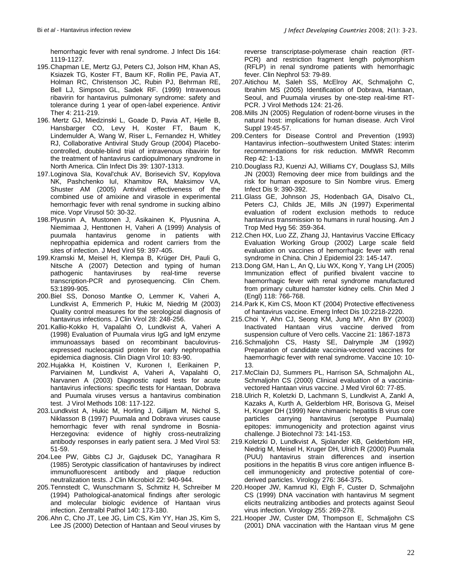hemorrhagic fever with renal syndrome. J Infect Dis 164: 1119-1127.

- 195.Chapman LE, Mertz GJ, Peters CJ, Jolson HM, Khan AS, Ksiazek TG, Koster FT, Baum KF, Rollin PE, Pavia AT, Holman RC, Christenson JC, Rubin PJ, Behrman RE, Bell LJ, Simpson GL, Sadek RF. (1999) Intravenous ribavirin for hantavirus pulmonary syndrome: safety and tolerance during 1 year of open-label experience. Antivir Ther 4: 211-219.
- 196. Mertz GJ, Miedzinski L, Goade D, Pavia AT, Hjelle B, Hansbarger CO, Levy H, Koster FT, Baum K, Lindemulder A, Wang W, Riser L, Fernandez H, Whitley RJ, Collaborative Antiviral Study Group (2004) Placebocontrolled, double-blind trial of intravenous ribavirin for the treatment of hantavirus cardiopulmonary syndrome in North America. Clin Infect Dis 39: 1307-1313.
- 197.Loginova SIa, Koval'chuk AV, Borisevich SV, Kopylova NK, Pashchenko IuI, Khamitov RA, Maksimov VA, Shuster AM (2005) Antiviral effectiveness of the combined use of amixine and virasole in experimental hemorrhagic fever with renal syndrome in sucking albino mice. Vopr Virusol 50: 30-32.
- 198.Plyusnin A, Mustonen J, Asikainen K, Plyusnina A, Niemimaa J, Henttonen H, Vaheri A (1999) Analysis of puumala hantavirus genome in patients with nephropathia epidemica and rodent carriers from the sites of infection. J Med Virol 59: 397-405.
- 199.Kramski M, Meisel H, Klempa B, Krüger DH, Pauli G, Nitsche A (2007) Detection and typing of human<br>pathogenic hantaviruses by real-time reverse pathogenic hantaviruses by transcription-PCR and pyrosequencing. Clin Chem. 53:1899-905.
- 200.Biel SS, Donoso Mantke O, Lemmer K, Vaheri A, Lundkvist A, Emmerich P, Hukic M, Niedrig M (2003) Quality control measures for the serological diagnosis of hantavirus infections. J Clin Virol 28: 248-256.
- 201.Kallio-Kokko H, Vapalahti O, Lundkvist A, Vaheri A (1998) Evaluation of Puumala virus IgG and IgM enzyme immunoassays based on recombinant baculovirusexpressed nucleocapsid protein for early nephropathia epidemica diagnosis. Clin Diagn Virol 10: 83-90.
- 202.Hujakka H, Koistinen V, Kuronen I, Eerikainen P, Parviainen M, Lundkvist A, Vaheri A, Vapalahti O, Narvanen A (2003) Diagnostic rapid tests for acute hantavirus infections: specific tests for Hantaan, Dobrava and Puumala viruses versus a hantavirus combination test. J Virol Methods 108: 117-122.
- 203.Lundkvist A, Hukic M, Horling J, Gilljam M, Nichol S, Niklasson B (1997) Puumala and Dobrava viruses cause hemorrhagic fever with renal syndrome in Bosnia-Herzegovina: evidence of highly cross-neutralizing antibody responses in early patient sera. J Med Virol 53: 51-59.
- 204.Lee PW, Gibbs CJ Jr, Gajdusek DC, Yanagihara R (1985) Serotypic classification of hantaviruses by indirect immunofluorescent antibody and plaque reduction neutralization tests. J Clin Microbiol 22: 940-944.
- 205.Tennstedt C, Wunschmann S, Schmitz H, Schreiber M (1994) Pathological-anatomical findings after serologic and molecular biologic evidence of Hantaan virus infection. Zentralbl Pathol 140: 173-180.
- 206.Ahn C, Cho JT, Lee JG, Lim CS, Kim YY, Han JS, Kim S, Lee JS (2000) Detection of Hantaan and Seoul viruses by

reverse transcriptase-polymerase chain reaction (RT-PCR) and restriction fragment length polymorphism (RFLP) in renal syndrome patients with hemorrhagic fever. Clin Nephrol 53: 79-89.

- 207.Aitichou M, Saleh SS, McElroy AK, Schmaljohn C, Ibrahim MS (2005) Identification of Dobrava, Hantaan, Seoul, and Puumala viruses by one-step real-time RT-PCR. J Virol Methods 124: 21-26.
- 208.Mills JN (2005) Regulation of rodent-borne viruses in the natural host: implications for human disease. Arch Virol Suppl 19:45-57.
- 209.Centers for Disease Control and Prevention (1993) Hantavirus infection--southwestern United States: interim recommendations for risk reduction. MMWR Recomm Rep 42: 1-13.
- 210.Douglass RJ, Kuenzi AJ, Williams CY, Douglass SJ, Mills JN (2003) Removing deer mice from buildings and the risk for human exposure to Sin Nombre virus. Emerg Infect Dis 9: 390-392.
- 211.Glass GE, Johnson JS, Hodenbach GA, Disalvo CL, Peters CJ, Childs JE, Mills JN (1997) Experimental evaluation of rodent exclusion methods to reduce hantavirus transmission to humans in rural housing. Am J Trop Med Hyg 56: 359-364.
- 212.Chen HX, Luo ZZ, Zhang JJ, Hantavirus Vaccine Efficacy Evaluation Working Group (2002) Large scale field evaluation on vaccines of hemorrhagic fever with renal syndrome in China. Chin J Epidemiol 23: 145-147.
- 213.Dong GM, Han L, An Q, Liu WX, Kong Y, Yang LH (2005) Immunization effect of purified bivalent vaccine to haemorrhagic fever with renal syndrome manufactured from primary cultured hamster kidney cells. Chin Med J (Engl) 118: 766-768.
- 214.Park K, Kim CS, Moon KT (2004) Protective effectiveness of hantavirus vaccine. Emerg Infect Dis 10:2218-2220.
- 215.Choi Y, Ahn CJ, Seong KM, Jung MY, Ahn BY (2003) Inactivated Hantaan virus vaccine derived from suspension culture of Vero cells. Vaccine 21: 1867-1873
- 216.Schmaljohn CS, Hasty SE, Dalrymple JM (1992) Preparation of candidate vaccinia-vectored vaccines for haemorrhagic fever with renal syndrome. Vaccine 10: 10- 13.
- 217.McClain DJ, Summers PL, Harrison SA, Schmaljohn AL, Schmaljohn CS (2000) Clinical evaluation of a vacciniavectored Hantaan virus vaccine. J Med Virol 60: 77-85.
- 218.Ulrich R, Koletzki D, Lachmann S, Lundkvist A, Zankl A, Kazaks A, Kurth A, Gelderblom HR, Borisova G, Meisel H, Kruger DH (1999) New chimaeric hepatitis B virus core particles carrying hantavirus (serotype Puumala) epitopes: immunogenicity and protection against virus challenge. J Biotechnol 73: 141-153.
- 219.Koletzki D, Lundkvist A, Sjolander KB, Gelderblom HR, Niedrig M, Meisel H, Kruger DH, Ulrich R (2000) Puumala (PUU) hantavirus strain differences and insertion positions in the hepatitis B virus core antigen influence Bcell immunogenicity and protective potential of corederived particles. Virology 276: 364-375.
- 220.Hooper JW, Kamrud KI, Elgh F, Custer D, Schmaljohn CS (1999) DNA vaccination with hantavirus M segment elicits neutralizing antibodies and protects against Seoul virus infection. Virology 255: 269-278.
- 221.Hooper JW, Custer DM, Thompson E, Schmaljohn CS (2001) DNA vaccination with the Hantaan virus M gene